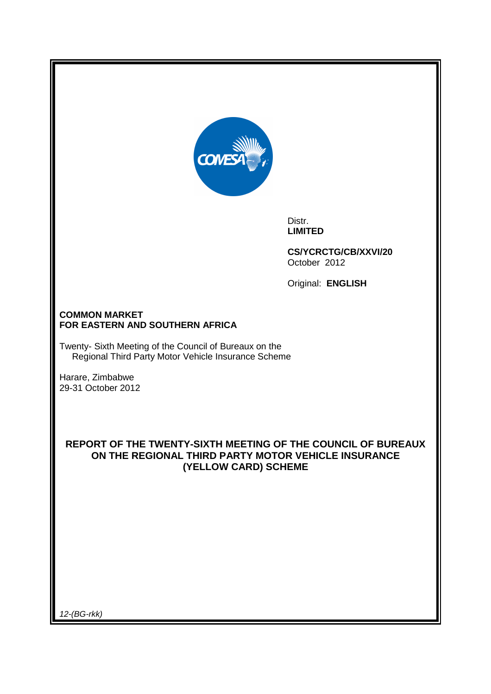

Distr. **LIMITED** 

**CS/YCRCTG/CB/XXVI/20**  October 2012

Original: **ENGLISH** 

## **COMMON MARKET FOR EASTERN AND SOUTHERN AFRICA**

Twenty- Sixth Meeting of the Council of Bureaux on the Regional Third Party Motor Vehicle Insurance Scheme

Harare, Zimbabwe 29-31 October 2012

**REPORT OF THE TWENTY-SIXTH MEETING OF THE COUNCIL OF BUREAUX ON THE REGIONAL THIRD PARTY MOTOR VEHICLE INSURANCE (YELLOW CARD) SCHEME** 

12-(BG-rkk)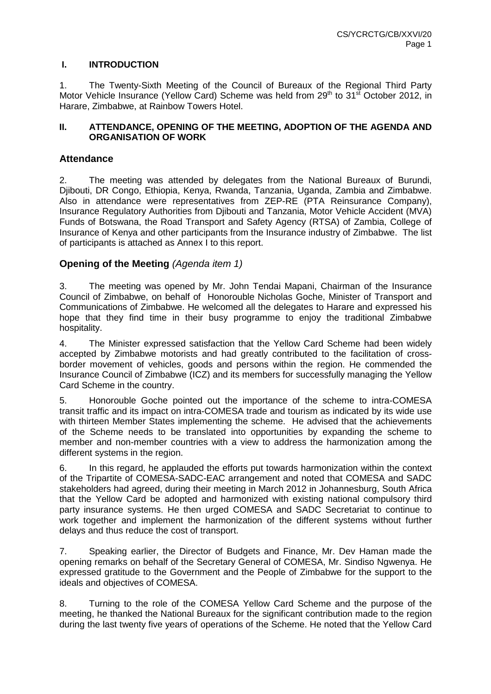## **I. INTRODUCTION**

1. The Twenty-Sixth Meeting of the Council of Bureaux of the Regional Third Party Motor Vehicle Insurance (Yellow Card) Scheme was held from 29<sup>th</sup> to 31<sup>st</sup> October 2012, in Harare, Zimbabwe, at Rainbow Towers Hotel.

## **II. ATTENDANCE, OPENING OF THE MEETING, ADOPTION OF THE AGENDA AND ORGANISATION OF WORK**

## **Attendance**

2. The meeting was attended by delegates from the National Bureaux of Burundi, Djibouti, DR Congo, Ethiopia, Kenya, Rwanda, Tanzania, Uganda, Zambia and Zimbabwe. Also in attendance were representatives from ZEP-RE (PTA Reinsurance Company), Insurance Regulatory Authorities from Djibouti and Tanzania, Motor Vehicle Accident (MVA) Funds of Botswana, the Road Transport and Safety Agency (RTSA) of Zambia, College of Insurance of Kenya and other participants from the Insurance industry of Zimbabwe. The list of participants is attached as Annex I to this report.

## **Opening of the Meeting (Agenda item 1)**

3. The meeting was opened by Mr. John Tendai Mapani, Chairman of the Insurance Council of Zimbabwe, on behalf of Honorouble Nicholas Goche, Minister of Transport and Communications of Zimbabwe. He welcomed all the delegates to Harare and expressed his hope that they find time in their busy programme to enjoy the traditional Zimbabwe hospitality.

4. The Minister expressed satisfaction that the Yellow Card Scheme had been widely accepted by Zimbabwe motorists and had greatly contributed to the facilitation of crossborder movement of vehicles, goods and persons within the region. He commended the Insurance Council of Zimbabwe (ICZ) and its members for successfully managing the Yellow Card Scheme in the country.

5. Honorouble Goche pointed out the importance of the scheme to intra-COMESA transit traffic and its impact on intra-COMESA trade and tourism as indicated by its wide use with thirteen Member States implementing the scheme. He advised that the achievements of the Scheme needs to be translated into opportunities by expanding the scheme to member and non-member countries with a view to address the harmonization among the different systems in the region.

6. In this regard, he applauded the efforts put towards harmonization within the context of the Tripartite of COMESA-SADC-EAC arrangement and noted that COMESA and SADC stakeholders had agreed, during their meeting in March 2012 in Johannesburg, South Africa that the Yellow Card be adopted and harmonized with existing national compulsory third party insurance systems. He then urged COMESA and SADC Secretariat to continue to work together and implement the harmonization of the different systems without further delays and thus reduce the cost of transport.

7. Speaking earlier, the Director of Budgets and Finance, Mr. Dev Haman made the opening remarks on behalf of the Secretary General of COMESA, Mr. Sindiso Ngwenya. He expressed gratitude to the Government and the People of Zimbabwe for the support to the ideals and objectives of COMESA.

8. Turning to the role of the COMESA Yellow Card Scheme and the purpose of the meeting, he thanked the National Bureaux for the significant contribution made to the region during the last twenty five years of operations of the Scheme. He noted that the Yellow Card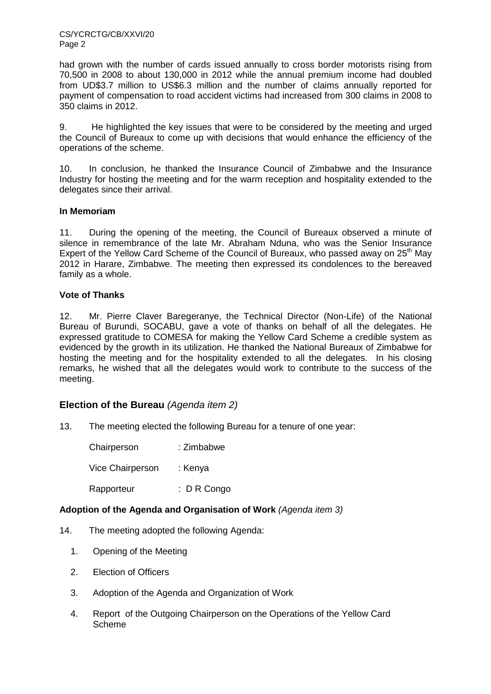CS/YCRCTG/CB/XXVI/20 Page 2

had grown with the number of cards issued annually to cross border motorists rising from 70,500 in 2008 to about 130,000 in 2012 while the annual premium income had doubled from UD\$3.7 million to US\$6.3 million and the number of claims annually reported for payment of compensation to road accident victims had increased from 300 claims in 2008 to 350 claims in 2012.

9. He highlighted the key issues that were to be considered by the meeting and urged the Council of Bureaux to come up with decisions that would enhance the efficiency of the operations of the scheme.

10. In conclusion, he thanked the Insurance Council of Zimbabwe and the Insurance Industry for hosting the meeting and for the warm reception and hospitality extended to the delegates since their arrival.

#### **In Memoriam**

11. During the opening of the meeting, the Council of Bureaux observed a minute of silence in remembrance of the late Mr. Abraham Nduna, who was the Senior Insurance Expert of the Yellow Card Scheme of the Council of Bureaux, who passed away on  $25<sup>th</sup>$  May 2012 in Harare, Zimbabwe. The meeting then expressed its condolences to the bereaved family as a whole.

#### **Vote of Thanks**

12. Mr. Pierre Claver Baregeranye, the Technical Director (Non-Life) of the National Bureau of Burundi, SOCABU, gave a vote of thanks on behalf of all the delegates. He expressed gratitude to COMESA for making the Yellow Card Scheme a credible system as evidenced by the growth in its utilization. He thanked the National Bureaux of Zimbabwe for hosting the meeting and for the hospitality extended to all the delegates. In his closing remarks, he wished that all the delegates would work to contribute to the success of the meeting.

## **Election of the Bureau** (Agenda item 2)

13. The meeting elected the following Bureau for a tenure of one year:

| Chairperson      | : Zimbabwe             |
|------------------|------------------------|
| Vice Chairperson | : Kenya                |
| Rapporteur       | $\therefore$ D R Congo |

## **Adoption of the Agenda and Organisation of Work** (Agenda item 3)

- 14. The meeting adopted the following Agenda:
	- 1. Opening of the Meeting
	- 2. Election of Officers
	- 3. Adoption of the Agenda and Organization of Work
	- 4. Report of the Outgoing Chairperson on the Operations of the Yellow Card Scheme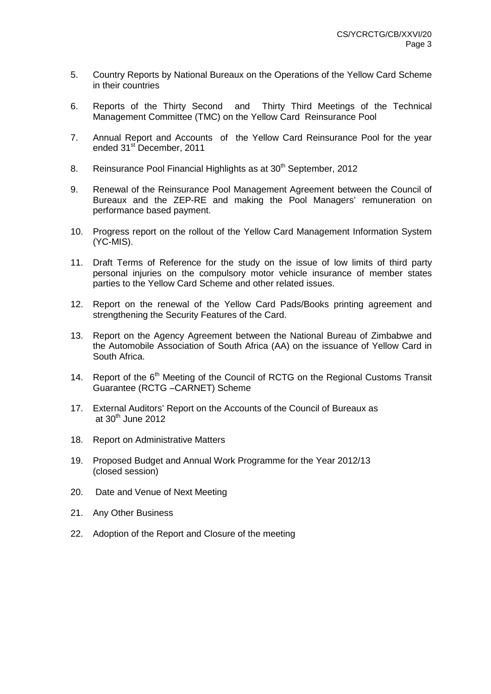- 5. Country Reports by National Bureaux on the Operations of the Yellow Card Scheme in their countries
- 6. Reports of the Thirty Second and Thirty Third Meetings of the Technical Management Committee (TMC) on the Yellow Card Reinsurance Pool
- 7. Annual Report and Accounts of the Yellow Card Reinsurance Pool for the year ended 31<sup>st</sup> December, 2011
- 8. Reinsurance Pool Financial Highlights as at 30<sup>th</sup> September, 2012
- 9. Renewal of the Reinsurance Pool Management Agreement between the Council of Bureaux and the ZEP-RE and making the Pool Managers' remuneration on performance based payment.
- 10. Progress report on the rollout of the Yellow Card Management Information System (YC-MIS).
- 11. Draft Terms of Reference for the study on the issue of low limits of third party personal injuries on the compulsory motor vehicle insurance of member states parties to the Yellow Card Scheme and other related issues.
- 12. Report on the renewal of the Yellow Card Pads/Books printing agreement and strengthening the Security Features of the Card.
- 13. Report on the Agency Agreement between the National Bureau of Zimbabwe and the Automobile Association of South Africa (AA) on the issuance of Yellow Card in South Africa.
- 14. Report of the 6<sup>th</sup> Meeting of the Council of RCTG on the Regional Customs Transit Guarantee (RCTG –CARNET) Scheme
- 17. External Auditors' Report on the Accounts of the Council of Bureaux as at  $30<sup>th</sup>$  June 2012
- 18. Report on Administrative Matters
- 19. Proposed Budget and Annual Work Programme for the Year 2012/13 (closed session)
- 20. Date and Venue of Next Meeting
- 21. Any Other Business
- 22. Adoption of the Report and Closure of the meeting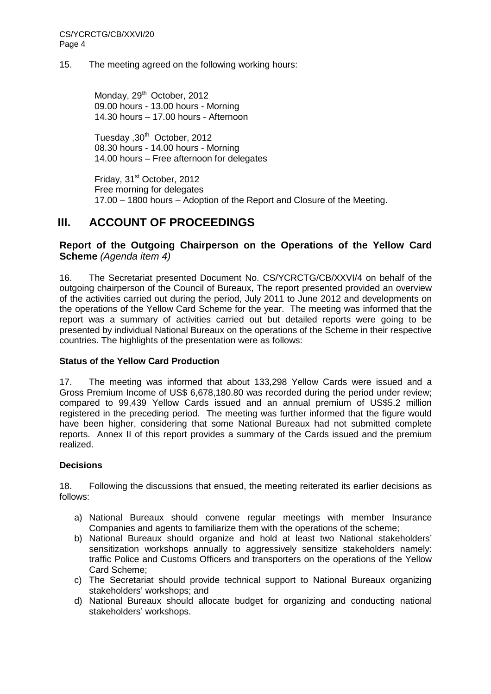### 15. The meeting agreed on the following working hours:

Monday, 29<sup>th</sup> October, 2012 09.00 hours - 13.00 hours - Morning 14.30 hours – 17.00 hours - Afternoon

Tuesday , 30<sup>th</sup> October, 2012 08.30 hours - 14.00 hours - Morning 14.00 hours – Free afternoon for delegates

Friday, 31<sup>st</sup> October, 2012 Free morning for delegates 17.00 – 1800 hours – Adoption of the Report and Closure of the Meeting.

# **III. ACCOUNT OF PROCEEDINGS**

## **Report of the Outgoing Chairperson on the Operations of the Yellow Card Scheme** (Agenda item 4)

16. The Secretariat presented Document No. CS/YCRCTG/CB/XXVI/4 on behalf of the outgoing chairperson of the Council of Bureaux, The report presented provided an overview of the activities carried out during the period, July 2011 to June 2012 and developments on the operations of the Yellow Card Scheme for the year. The meeting was informed that the report was a summary of activities carried out but detailed reports were going to be presented by individual National Bureaux on the operations of the Scheme in their respective countries. The highlights of the presentation were as follows:

## **Status of the Yellow Card Production**

17. The meeting was informed that about 133,298 Yellow Cards were issued and a Gross Premium Income of US\$ 6,678,180.80 was recorded during the period under review; compared to 99,439 Yellow Cards issued and an annual premium of US\$5.2 million registered in the preceding period. The meeting was further informed that the figure would have been higher, considering that some National Bureaux had not submitted complete reports. Annex II of this report provides a summary of the Cards issued and the premium realized.

## **Decisions**

18. Following the discussions that ensued, the meeting reiterated its earlier decisions as follows:

- a) National Bureaux should convene regular meetings with member Insurance Companies and agents to familiarize them with the operations of the scheme;
- b) National Bureaux should organize and hold at least two National stakeholders' sensitization workshops annually to aggressively sensitize stakeholders namely: traffic Police and Customs Officers and transporters on the operations of the Yellow Card Scheme;
- c) The Secretariat should provide technical support to National Bureaux organizing stakeholders' workshops; and
- d) National Bureaux should allocate budget for organizing and conducting national stakeholders' workshops.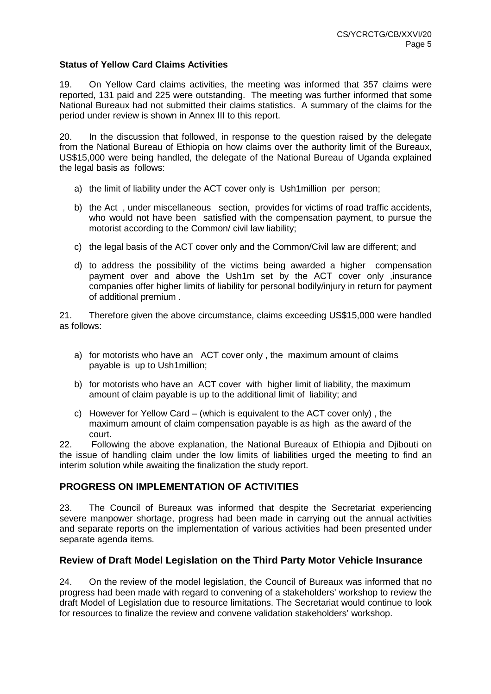## **Status of Yellow Card Claims Activities**

19. On Yellow Card claims activities, the meeting was informed that 357 claims were reported, 131 paid and 225 were outstanding. The meeting was further informed that some National Bureaux had not submitted their claims statistics. A summary of the claims for the period under review is shown in Annex III to this report.

20. In the discussion that followed, in response to the question raised by the delegate from the National Bureau of Ethiopia on how claims over the authority limit of the Bureaux, US\$15,000 were being handled, the delegate of the National Bureau of Uganda explained the legal basis as follows:

- a) the limit of liability under the ACT cover only is Ush1million per person;
- b) the Act , under miscellaneous section, provides for victims of road traffic accidents, who would not have been satisfied with the compensation payment, to pursue the motorist according to the Common/ civil law liability;
- c) the legal basis of the ACT cover only and the Common/Civil law are different; and
- d) to address the possibility of the victims being awarded a higher compensation payment over and above the Ush1m set by the ACT cover only ,insurance companies offer higher limits of liability for personal bodily/injury in return for payment of additional premium .

21. Therefore given the above circumstance, claims exceeding US\$15,000 were handled as follows:

- a) for motorists who have an ACT cover only , the maximum amount of claims payable is up to Ush1million;
- b) for motorists who have an ACT cover with higher limit of liability, the maximum amount of claim payable is up to the additional limit of liability; and
- c) However for Yellow Card (which is equivalent to the ACT cover only) , the maximum amount of claim compensation payable is as high as the award of the court.

22. Following the above explanation, the National Bureaux of Ethiopia and Djibouti on the issue of handling claim under the low limits of liabilities urged the meeting to find an interim solution while awaiting the finalization the study report.

## **PROGRESS ON IMPLEMENTATION OF ACTIVITIES**

23. The Council of Bureaux was informed that despite the Secretariat experiencing severe manpower shortage, progress had been made in carrying out the annual activities and separate reports on the implementation of various activities had been presented under separate agenda items.

## **Review of Draft Model Legislation on the Third Party Motor Vehicle Insurance**

24. On the review of the model legislation, the Council of Bureaux was informed that no progress had been made with regard to convening of a stakeholders' workshop to review the draft Model of Legislation due to resource limitations. The Secretariat would continue to look for resources to finalize the review and convene validation stakeholders' workshop.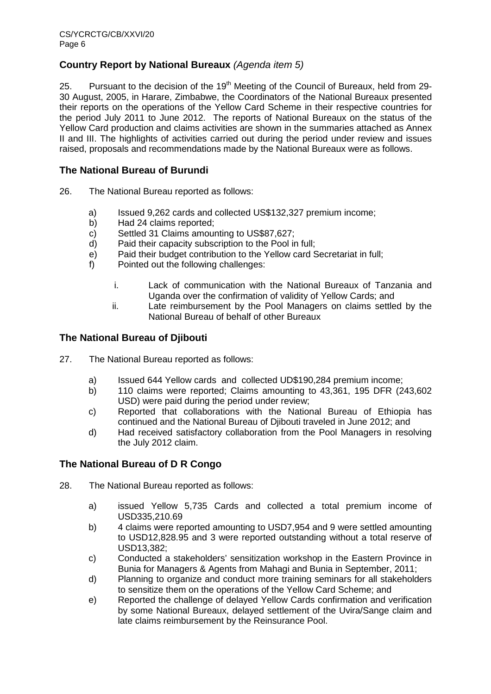# **Country Report by National Bureaux** (Agenda item 5)

25. Pursuant to the decision of the  $19<sup>th</sup>$  Meeting of the Council of Bureaux, held from 29-30 August, 2005, in Harare, Zimbabwe, the Coordinators of the National Bureaux presented their reports on the operations of the Yellow Card Scheme in their respective countries for the period July 2011 to June 2012. The reports of National Bureaux on the status of the Yellow Card production and claims activities are shown in the summaries attached as Annex II and III. The highlights of activities carried out during the period under review and issues raised, proposals and recommendations made by the National Bureaux were as follows.

## **The National Bureau of Burundi**

- 26. The National Bureau reported as follows:
	- a) Issued 9,262 cards and collected US\$132,327 premium income;
	- b) Had 24 claims reported;
	- c) Settled 31 Claims amounting to US\$87,627;
	- d) Paid their capacity subscription to the Pool in full;
	- e) Paid their budget contribution to the Yellow card Secretariat in full;
	- f) Pointed out the following challenges:
		- i. Lack of communication with the National Bureaux of Tanzania and Uganda over the confirmation of validity of Yellow Cards; and
		- ii. Late reimbursement by the Pool Managers on claims settled by the National Bureau of behalf of other Bureaux

## **The National Bureau of Djibouti**

- 27. The National Bureau reported as follows:
	- a) Issued 644 Yellow cards and collected UD\$190,284 premium income;
	- b) 110 claims were reported; Claims amounting to 43,361, 195 DFR (243,602 USD) were paid during the period under review;
	- c) Reported that collaborations with the National Bureau of Ethiopia has continued and the National Bureau of Djibouti traveled in June 2012; and
	- d) Had received satisfactory collaboration from the Pool Managers in resolving the July 2012 claim.

## **The National Bureau of D R Congo**

- 28. The National Bureau reported as follows:
	- a) issued Yellow 5,735 Cards and collected a total premium income of USD335,210.69
	- b) 4 claims were reported amounting to USD7,954 and 9 were settled amounting to USD12,828.95 and 3 were reported outstanding without a total reserve of USD13,382;
	- c) Conducted a stakeholders' sensitization workshop in the Eastern Province in Bunia for Managers & Agents from Mahagi and Bunia in September, 2011;
	- d) Planning to organize and conduct more training seminars for all stakeholders to sensitize them on the operations of the Yellow Card Scheme; and
	- e) Reported the challenge of delayed Yellow Cards confirmation and verification by some National Bureaux, delayed settlement of the Uvira/Sange claim and late claims reimbursement by the Reinsurance Pool.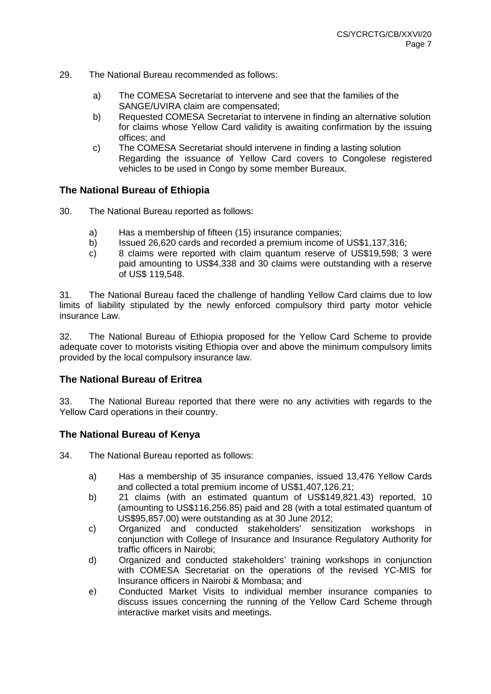- 29. The National Bureau recommended as follows:
	- a) The COMESA Secretariat to intervene and see that the families of the SANGE/UVIRA claim are compensated;
	- b) Requested COMESA Secretariat to intervene in finding an alternative solution for claims whose Yellow Card validity is awaiting confirmation by the issuing offices; and
	- c) The COMESA Secretariat should intervene in finding a lasting solution Regarding the issuance of Yellow Card covers to Congolese registered vehicles to be used in Congo by some member Bureaux.

## **The National Bureau of Ethiopia**

- 30. The National Bureau reported as follows:
	- a) Has a membership of fifteen (15) insurance companies;
	- b) Issued 26,620 cards and recorded a premium income of US\$1,137,316;
	- c) 8 claims were reported with claim quantum reserve of US\$19,598; 3 were paid amounting to US\$4,338 and 30 claims were outstanding with a reserve of US\$ 119,548.

31. The National Bureau faced the challenge of handling Yellow Card claims due to low limits of liability stipulated by the newly enforced compulsory third party motor vehicle insurance Law.

32. The National Bureau of Ethiopia proposed for the Yellow Card Scheme to provide adequate cover to motorists visiting Ethiopia over and above the minimum compulsory limits provided by the local compulsory insurance law.

## **The National Bureau of Eritrea**

33. The National Bureau reported that there were no any activities with regards to the Yellow Card operations in their country.

## **The National Bureau of Kenya**

34. The National Bureau reported as follows:

- a) Has a membership of 35 insurance companies, issued 13,476 Yellow Cards and collected a total premium income of US\$1,407,126.21;
- b) 21 claims (with an estimated quantum of US\$149,821.43) reported, 10 (amounting to US\$116,256.85) paid and 28 (with a total estimated quantum of US\$95,857.00) were outstanding as at 30 June 2012;
- c) Organized and conducted stakeholders' sensitization workshops in conjunction with College of Insurance and Insurance Regulatory Authority for traffic officers in Nairobi;
- d) Organized and conducted stakeholders' training workshops in conjunction with COMESA Secretariat on the operations of the revised YC-MIS for Insurance officers in Nairobi & Mombasa; and
- e) Conducted Market Visits to individual member insurance companies to discuss issues concerning the running of the Yellow Card Scheme through interactive market visits and meetings.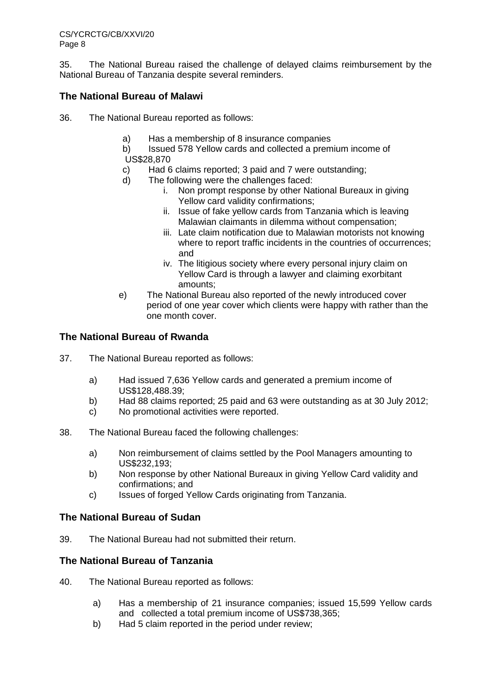35. The National Bureau raised the challenge of delayed claims reimbursement by the National Bureau of Tanzania despite several reminders.

# **The National Bureau of Malawi**

- 36. The National Bureau reported as follows:
	- a) Has a membership of 8 insurance companies
	- b) Issued 578 Yellow cards and collected a premium income of
	- US\$28,870
	- c) Had 6 claims reported; 3 paid and 7 were outstanding;
	- d) The following were the challenges faced:
		- i. Non prompt response by other National Bureaux in giving Yellow card validity confirmations;
		- ii. Issue of fake yellow cards from Tanzania which is leaving Malawian claimants in dilemma without compensation;
		- iii. Late claim notification due to Malawian motorists not knowing where to report traffic incidents in the countries of occurrences: and
		- iv. The litigious society where every personal injury claim on Yellow Card is through a lawyer and claiming exorbitant amounts;
	- e) The National Bureau also reported of the newly introduced cover period of one year cover which clients were happy with rather than the one month cover.

## **The National Bureau of Rwanda**

- 37. The National Bureau reported as follows:
	- a) Had issued 7,636 Yellow cards and generated a premium income of US\$128,488.39;
	- b) Had 88 claims reported; 25 paid and 63 were outstanding as at 30 July 2012;
	- c) No promotional activities were reported.
- 38. The National Bureau faced the following challenges:
	- a) Non reimbursement of claims settled by the Pool Managers amounting to US\$232,193;
	- b) Non response by other National Bureaux in giving Yellow Card validity and confirmations; and
	- c) Issues of forged Yellow Cards originating from Tanzania.

## **The National Bureau of Sudan**

39. The National Bureau had not submitted their return.

## **The National Bureau of Tanzania**

- 40. The National Bureau reported as follows:
	- a) Has a membership of 21 insurance companies; issued 15,599 Yellow cards and collected a total premium income of US\$738,365;
	- b) Had 5 claim reported in the period under review;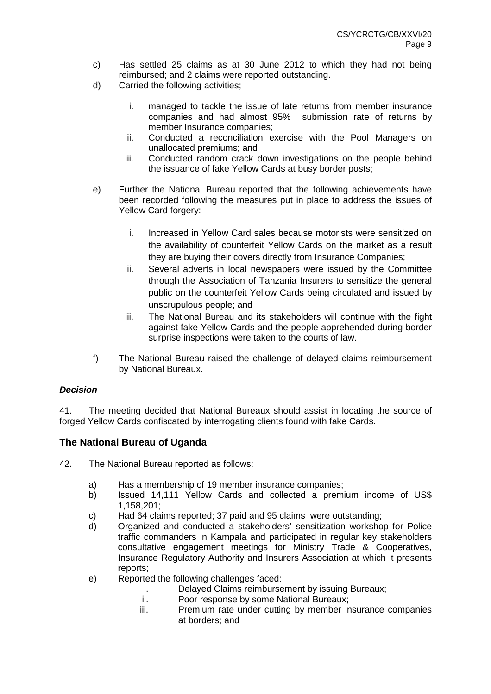- c) Has settled 25 claims as at 30 June 2012 to which they had not being reimbursed; and 2 claims were reported outstanding.
- d) Carried the following activities;
	- i. managed to tackle the issue of late returns from member insurance companies and had almost 95% submission rate of returns by member Insurance companies;
	- ii. Conducted a reconciliation exercise with the Pool Managers on unallocated premiums; and
	- iii. Conducted random crack down investigations on the people behind the issuance of fake Yellow Cards at busy border posts;
- e) Further the National Bureau reported that the following achievements have been recorded following the measures put in place to address the issues of Yellow Card forgery:
	- i. Increased in Yellow Card sales because motorists were sensitized on the availability of counterfeit Yellow Cards on the market as a result they are buying their covers directly from Insurance Companies;
	- ii. Several adverts in local newspapers were issued by the Committee through the Association of Tanzania Insurers to sensitize the general public on the counterfeit Yellow Cards being circulated and issued by unscrupulous people; and
	- iii. The National Bureau and its stakeholders will continue with the fight against fake Yellow Cards and the people apprehended during border surprise inspections were taken to the courts of law.
- f) The National Bureau raised the challenge of delayed claims reimbursement by National Bureaux.

## **Decision**

41. The meeting decided that National Bureaux should assist in locating the source of forged Yellow Cards confiscated by interrogating clients found with fake Cards.

## **The National Bureau of Uganda**

- 42. The National Bureau reported as follows:
	- a) Has a membership of 19 member insurance companies;
	- b) Issued 14,111 Yellow Cards and collected a premium income of US\$ 1,158,201;
	- c) Had 64 claims reported; 37 paid and 95 claims were outstanding;
	- d) Organized and conducted a stakeholders' sensitization workshop for Police traffic commanders in Kampala and participated in regular key stakeholders consultative engagement meetings for Ministry Trade & Cooperatives, Insurance Regulatory Authority and Insurers Association at which it presents reports;
	- e) Reported the following challenges faced:
		- i. Delayed Claims reimbursement by issuing Bureaux;
		- ii. Poor response by some National Bureaux;
		- iii. Premium rate under cutting by member insurance companies at borders; and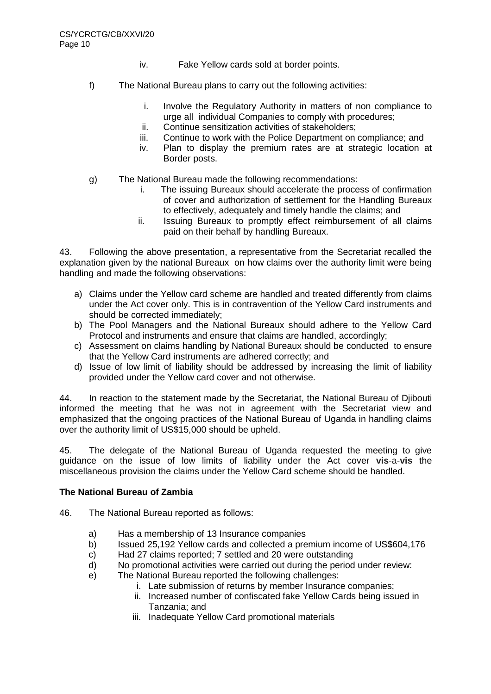- iv. Fake Yellow cards sold at border points.
- f) The National Bureau plans to carry out the following activities:
	- i. Involve the Regulatory Authority in matters of non compliance to urge all individual Companies to comply with procedures;
	- ii. Continue sensitization activities of stakeholders;
	- iii. Continue to work with the Police Department on compliance; and
	- iv. Plan to display the premium rates are at strategic location at Border posts.
- g) The National Bureau made the following recommendations:
	- i. The issuing Bureaux should accelerate the process of confirmation of cover and authorization of settlement for the Handling Bureaux to effectively, adequately and timely handle the claims; and
	- ii. Issuing Bureaux to promptly effect reimbursement of all claims paid on their behalf by handling Bureaux.

43. Following the above presentation, a representative from the Secretariat recalled the explanation given by the national Bureaux on how claims over the authority limit were being handling and made the following observations:

- a) Claims under the Yellow card scheme are handled and treated differently from claims under the Act cover only. This is in contravention of the Yellow Card instruments and should be corrected immediately;
- b) The Pool Managers and the National Bureaux should adhere to the Yellow Card Protocol and instruments and ensure that claims are handled, accordingly;
- c) Assessment on claims handling by National Bureaux should be conducted to ensure that the Yellow Card instruments are adhered correctly; and
- d) Issue of low limit of liability should be addressed by increasing the limit of liability provided under the Yellow card cover and not otherwise.

44. In reaction to the statement made by the Secretariat, the National Bureau of Djibouti informed the meeting that he was not in agreement with the Secretariat view and emphasized that the ongoing practices of the National Bureau of Uganda in handling claims over the authority limit of US\$15,000 should be upheld.

45. The delegate of the National Bureau of Uganda requested the meeting to give guidance on the issue of low limits of liability under the Act cover **vis**-a-**vis** the miscellaneous provision the claims under the Yellow Card scheme should be handled.

## **The National Bureau of Zambia**

46. The National Bureau reported as follows:

- a) Has a membership of 13 Insurance companies
- b) Issued 25,192 Yellow cards and collected a premium income of US\$604,176
- c) Had 27 claims reported; 7 settled and 20 were outstanding
- d) No promotional activities were carried out during the period under review:
- e) The National Bureau reported the following challenges:
	- i. Late submission of returns by member Insurance companies;
	- ii. Increased number of confiscated fake Yellow Cards being issued in Tanzania; and
	- iii. Inadequate Yellow Card promotional materials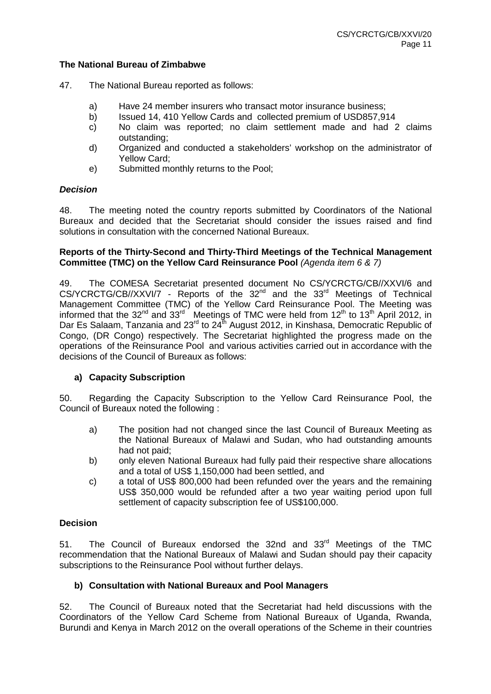#### **The National Bureau of Zimbabwe**

- 47. The National Bureau reported as follows:
	- a) Have 24 member insurers who transact motor insurance business;
	- b) Issued 14, 410 Yellow Cards and collected premium of USD857,914
	- c) No claim was reported; no claim settlement made and had 2 claims outstanding;
	- d) Organized and conducted a stakeholders' workshop on the administrator of Yellow Card;
	- e) Submitted monthly returns to the Pool;

#### **Decision**

48. The meeting noted the country reports submitted by Coordinators of the National Bureaux and decided that the Secretariat should consider the issues raised and find solutions in consultation with the concerned National Bureaux.

#### **Reports of the Thirty-Second and Thirty-Third Meetings of the Technical Management Committee (TMC) on the Yellow Card Reinsurance Pool** (Agenda item 6 & 7)

49. The COMESA Secretariat presented document No CS/YCRCTG/CB//XXVI/6 and CS/YCRCTG/CB//XXVI/7 - Reports of the 32<sup>nd</sup> and the 33<sup>rd</sup> Meetings of Technical Management Committee (TMC) of the Yellow Card Reinsurance Pool. The Meeting was informed that the 32<sup>nd</sup> and 33<sup>rd</sup> Meetings of TMC were held from 12<sup>th</sup> to 13<sup>th</sup> April 2012, in Dar Es Salaam, Tanzania and  $23<sup>rd</sup>$  to  $24<sup>th</sup>$  August 2012, in Kinshasa, Democratic Republic of Congo, (DR Congo) respectively. The Secretariat highlighted the progress made on the operations of the Reinsurance Pool and various activities carried out in accordance with the decisions of the Council of Bureaux as follows:

## **a) Capacity Subscription**

50. Regarding the Capacity Subscription to the Yellow Card Reinsurance Pool, the Council of Bureaux noted the following :

- a) The position had not changed since the last Council of Bureaux Meeting as the National Bureaux of Malawi and Sudan, who had outstanding amounts had not paid;
- b) only eleven National Bureaux had fully paid their respective share allocations and a total of US\$ 1,150,000 had been settled, and
- c) a total of US\$ 800,000 had been refunded over the years and the remaining US\$ 350,000 would be refunded after a two year waiting period upon full settlement of capacity subscription fee of US\$100,000.

## **Decision**

51. The Council of Bureaux endorsed the 32nd and 33<sup>rd</sup> Meetings of the TMC recommendation that the National Bureaux of Malawi and Sudan should pay their capacity subscriptions to the Reinsurance Pool without further delays.

#### **b) Consultation with National Bureaux and Pool Managers**

52. The Council of Bureaux noted that the Secretariat had held discussions with the Coordinators of the Yellow Card Scheme from National Bureaux of Uganda, Rwanda, Burundi and Kenya in March 2012 on the overall operations of the Scheme in their countries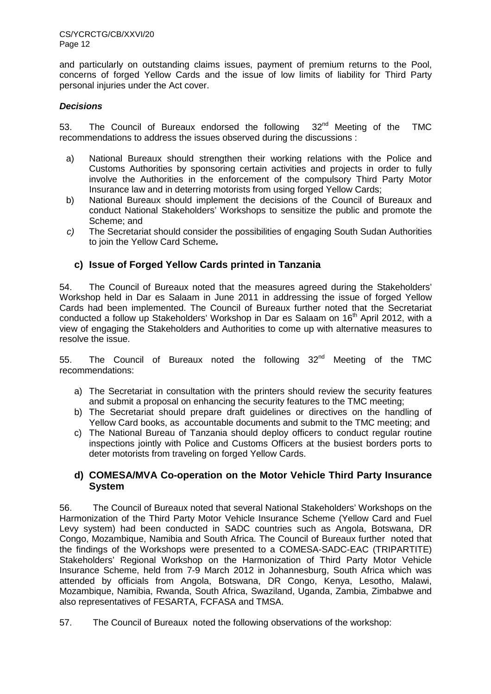CS/YCRCTG/CB/XXVI/20 Page 12

and particularly on outstanding claims issues, payment of premium returns to the Pool, concerns of forged Yellow Cards and the issue of low limits of liability for Third Party personal injuries under the Act cover.

## **Decisions**

53. The Council of Bureaux endorsed the following 32<sup>nd</sup> Meeting of the TMC recommendations to address the issues observed during the discussions :

- a) National Bureaux should strengthen their working relations with the Police and Customs Authorities by sponsoring certain activities and projects in order to fully involve the Authorities in the enforcement of the compulsory Third Party Motor Insurance law and in deterring motorists from using forged Yellow Cards;
- b) National Bureaux should implement the decisions of the Council of Bureaux and conduct National Stakeholders' Workshops to sensitize the public and promote the Scheme; and
- $c$ ) The Secretariat should consider the possibilities of engaging South Sudan Authorities to join the Yellow Card Scheme**.**

## **c) Issue of Forged Yellow Cards printed in Tanzania**

54. The Council of Bureaux noted that the measures agreed during the Stakeholders' Workshop held in Dar es Salaam in June 2011 in addressing the issue of forged Yellow Cards had been implemented. The Council of Bureaux further noted that the Secretariat conducted a follow up Stakeholders' Workshop in Dar es Salaam on 16<sup>th</sup> April 2012, with a view of engaging the Stakeholders and Authorities to come up with alternative measures to resolve the issue.

55. The Council of Bureaux noted the following 32<sup>nd</sup> Meeting of the TMC recommendations:

- a) The Secretariat in consultation with the printers should review the security features and submit a proposal on enhancing the security features to the TMC meeting;
- b) The Secretariat should prepare draft guidelines or directives on the handling of Yellow Card books, as accountable documents and submit to the TMC meeting; and
- c) The National Bureau of Tanzania should deploy officers to conduct regular routine inspections jointly with Police and Customs Officers at the busiest borders ports to deter motorists from traveling on forged Yellow Cards.

## **d) COMESA/MVA Co-operation on the Motor Vehicle Third Party Insurance System**

56. The Council of Bureaux noted that several National Stakeholders' Workshops on the Harmonization of the Third Party Motor Vehicle Insurance Scheme (Yellow Card and Fuel Levy system) had been conducted in SADC countries such as Angola, Botswana, DR Congo, Mozambique, Namibia and South Africa. The Council of Bureaux further noted that the findings of the Workshops were presented to a COMESA-SADC-EAC (TRIPARTITE) Stakeholders' Regional Workshop on the Harmonization of Third Party Motor Vehicle Insurance Scheme, held from 7-9 March 2012 in Johannesburg, South Africa which was attended by officials from Angola, Botswana, DR Congo, Kenya, Lesotho, Malawi, Mozambique, Namibia, Rwanda, South Africa, Swaziland, Uganda, Zambia, Zimbabwe and also representatives of FESARTA, FCFASA and TMSA.

57. The Council of Bureaux noted the following observations of the workshop: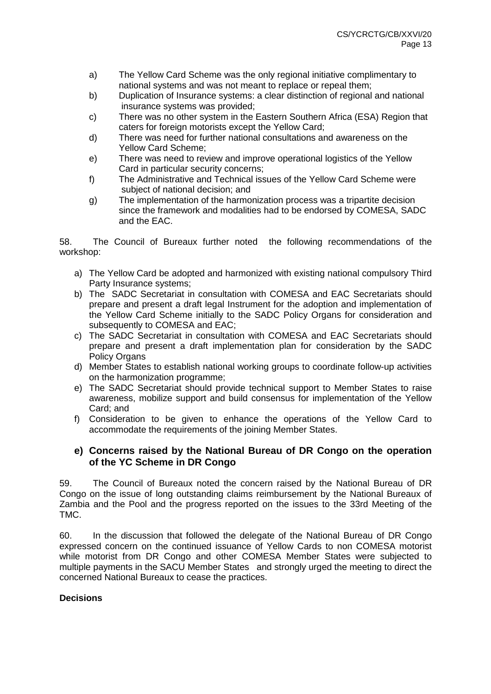- a) The Yellow Card Scheme was the only regional initiative complimentary to national systems and was not meant to replace or repeal them;
- b) Duplication of Insurance systems: a clear distinction of regional and national insurance systems was provided;
- c) There was no other system in the Eastern Southern Africa (ESA) Region that caters for foreign motorists except the Yellow Card;
- d) There was need for further national consultations and awareness on the Yellow Card Scheme;
- e) There was need to review and improve operational logistics of the Yellow Card in particular security concerns;
- f) The Administrative and Technical issues of the Yellow Card Scheme were subject of national decision; and
- g) The implementation of the harmonization process was a tripartite decision since the framework and modalities had to be endorsed by COMESA, SADC and the EAC.

58. The Council of Bureaux further noted the following recommendations of the workshop:

- a) The Yellow Card be adopted and harmonized with existing national compulsory Third Party Insurance systems;
- b) The SADC Secretariat in consultation with COMESA and EAC Secretariats should prepare and present a draft legal Instrument for the adoption and implementation of the Yellow Card Scheme initially to the SADC Policy Organs for consideration and subsequently to COMESA and EAC;
- c) The SADC Secretariat in consultation with COMESA and EAC Secretariats should prepare and present a draft implementation plan for consideration by the SADC Policy Organs
- d) Member States to establish national working groups to coordinate follow-up activities on the harmonization programme;
- e) The SADC Secretariat should provide technical support to Member States to raise awareness, mobilize support and build consensus for implementation of the Yellow Card; and
- f) Consideration to be given to enhance the operations of the Yellow Card to accommodate the requirements of the joining Member States.

## **e) Concerns raised by the National Bureau of DR Congo on the operation of the YC Scheme in DR Congo**

59. The Council of Bureaux noted the concern raised by the National Bureau of DR Congo on the issue of long outstanding claims reimbursement by the National Bureaux of Zambia and the Pool and the progress reported on the issues to the 33rd Meeting of the TMC.

60. In the discussion that followed the delegate of the National Bureau of DR Congo expressed concern on the continued issuance of Yellow Cards to non COMESA motorist while motorist from DR Congo and other COMESA Member States were subjected to multiple payments in the SACU Member States and strongly urged the meeting to direct the concerned National Bureaux to cease the practices.

## **Decisions**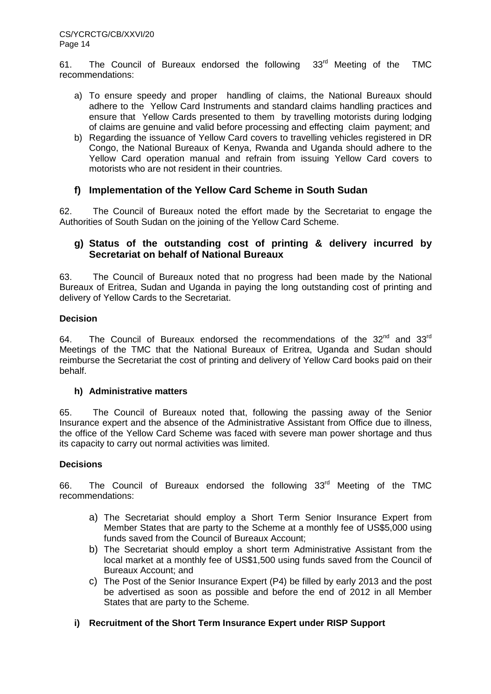61. The Council of Bureaux endorsed the following 33rd Meeting of the TMC recommendations:

- a) To ensure speedy and proper handling of claims, the National Bureaux should adhere to the Yellow Card Instruments and standard claims handling practices and ensure that Yellow Cards presented to them by travelling motorists during lodging of claims are genuine and valid before processing and effecting claim payment; and
- b) Regarding the issuance of Yellow Card covers to travelling vehicles registered in DR Congo, the National Bureaux of Kenya, Rwanda and Uganda should adhere to the Yellow Card operation manual and refrain from issuing Yellow Card covers to motorists who are not resident in their countries.

## **f) Implementation of the Yellow Card Scheme in South Sudan**

62. The Council of Bureaux noted the effort made by the Secretariat to engage the Authorities of South Sudan on the joining of the Yellow Card Scheme.

## **g) Status of the outstanding cost of printing & delivery incurred by Secretariat on behalf of National Bureaux**

63. The Council of Bureaux noted that no progress had been made by the National Bureaux of Eritrea, Sudan and Uganda in paying the long outstanding cost of printing and delivery of Yellow Cards to the Secretariat.

## **Decision**

64. The Council of Bureaux endorsed the recommendations of the  $32^{nd}$  and  $33^{rd}$ Meetings of the TMC that the National Bureaux of Eritrea, Uganda and Sudan should reimburse the Secretariat the cost of printing and delivery of Yellow Card books paid on their behalf.

#### **h) Administrative matters**

65. The Council of Bureaux noted that, following the passing away of the Senior Insurance expert and the absence of the Administrative Assistant from Office due to illness, the office of the Yellow Card Scheme was faced with severe man power shortage and thus its capacity to carry out normal activities was limited.

## **Decisions**

66. The Council of Bureaux endorsed the following 33<sup>rd</sup> Meeting of the TMC recommendations:

- a) The Secretariat should employ a Short Term Senior Insurance Expert from Member States that are party to the Scheme at a monthly fee of US\$5,000 using funds saved from the Council of Bureaux Account;
- b) The Secretariat should employ a short term Administrative Assistant from the local market at a monthly fee of US\$1,500 using funds saved from the Council of Bureaux Account; and
- c) The Post of the Senior Insurance Expert (P4) be filled by early 2013 and the post be advertised as soon as possible and before the end of 2012 in all Member States that are party to the Scheme.
- **i) Recruitment of the Short Term Insurance Expert under RISP Support**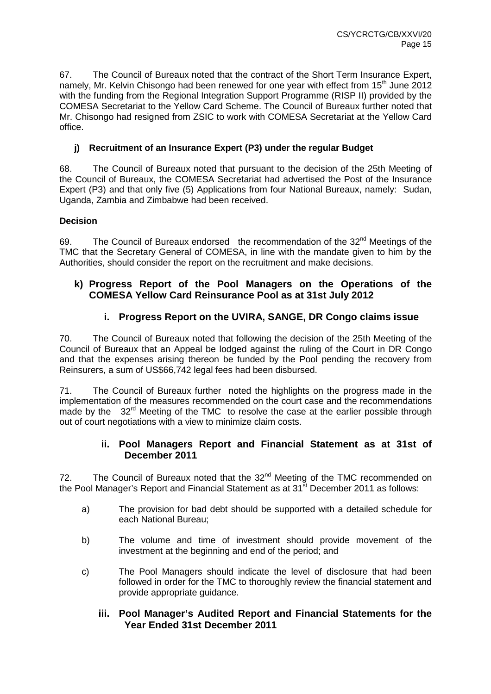67. The Council of Bureaux noted that the contract of the Short Term Insurance Expert, namely, Mr. Kelvin Chisongo had been renewed for one year with effect from 15<sup>th</sup> June 2012 with the funding from the Regional Integration Support Programme (RISP II) provided by the COMESA Secretariat to the Yellow Card Scheme. The Council of Bureaux further noted that Mr. Chisongo had resigned from ZSIC to work with COMESA Secretariat at the Yellow Card office.

# **j) Recruitment of an Insurance Expert (P3) under the regular Budget**

68. The Council of Bureaux noted that pursuant to the decision of the 25th Meeting of the Council of Bureaux, the COMESA Secretariat had advertised the Post of the Insurance Expert (P3) and that only five (5) Applications from four National Bureaux, namely: Sudan, Uganda, Zambia and Zimbabwe had been received.

## **Decision**

69. The Council of Bureaux endorsed the recommendation of the  $32<sup>nd</sup>$  Meetings of the TMC that the Secretary General of COMESA, in line with the mandate given to him by the Authorities, should consider the report on the recruitment and make decisions.

# **k) Progress Report of the Pool Managers on the Operations of the COMESA Yellow Card Reinsurance Pool as at 31st July 2012**

# **i. Progress Report on the UVIRA, SANGE, DR Congo claims issue**

70. The Council of Bureaux noted that following the decision of the 25th Meeting of the Council of Bureaux that an Appeal be lodged against the ruling of the Court in DR Congo and that the expenses arising thereon be funded by the Pool pending the recovery from Reinsurers, a sum of US\$66,742 legal fees had been disbursed.

71. The Council of Bureaux further noted the highlights on the progress made in the implementation of the measures recommended on the court case and the recommendations made by the  $32<sup>rd</sup>$  Meeting of the TMC to resolve the case at the earlier possible through out of court negotiations with a view to minimize claim costs.

## **ii. Pool Managers Report and Financial Statement as at 31st of December 2011**

72. The Council of Bureaux noted that the  $32<sup>nd</sup>$  Meeting of the TMC recommended on the Pool Manager's Report and Financial Statement as at  $31<sup>st</sup>$  December 2011 as follows:

- a) The provision for bad debt should be supported with a detailed schedule for each National Bureau;
- b) The volume and time of investment should provide movement of the investment at the beginning and end of the period; and
- c) The Pool Managers should indicate the level of disclosure that had been followed in order for the TMC to thoroughly review the financial statement and provide appropriate guidance.

## **iii. Pool Manager's Audited Report and Financial Statements for the Year Ended 31st December 2011**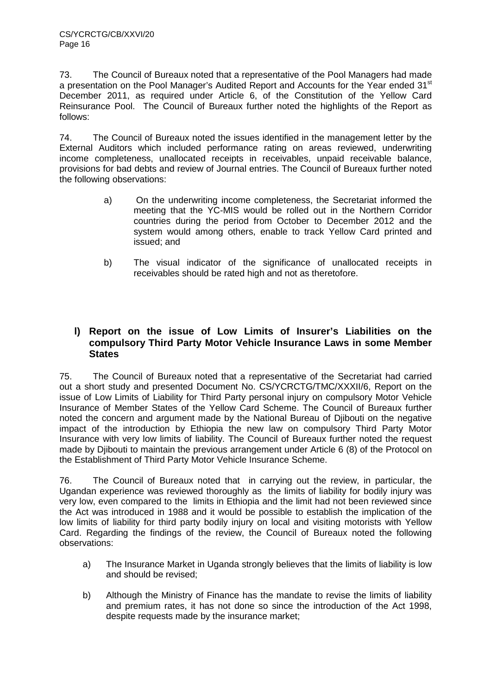73. The Council of Bureaux noted that a representative of the Pool Managers had made a presentation on the Pool Manager's Audited Report and Accounts for the Year ended 31<sup>st</sup> December 2011, as required under Article 6, of the Constitution of the Yellow Card Reinsurance Pool. The Council of Bureaux further noted the highlights of the Report as follows:

74. The Council of Bureaux noted the issues identified in the management letter by the External Auditors which included performance rating on areas reviewed, underwriting income completeness, unallocated receipts in receivables, unpaid receivable balance, provisions for bad debts and review of Journal entries. The Council of Bureaux further noted the following observations:

- a) On the underwriting income completeness, the Secretariat informed the meeting that the YC-MIS would be rolled out in the Northern Corridor countries during the period from October to December 2012 and the system would among others, enable to track Yellow Card printed and issued; and
- b) The visual indicator of the significance of unallocated receipts in receivables should be rated high and not as theretofore.

## **l) Report on the issue of Low Limits of Insurer's Liabilities on the compulsory Third Party Motor Vehicle Insurance Laws in some Member States**

75. The Council of Bureaux noted that a representative of the Secretariat had carried out a short study and presented Document No. CS/YCRCTG/TMC/XXXII/6, Report on the issue of Low Limits of Liability for Third Party personal injury on compulsory Motor Vehicle Insurance of Member States of the Yellow Card Scheme. The Council of Bureaux further noted the concern and argument made by the National Bureau of Djibouti on the negative impact of the introduction by Ethiopia the new law on compulsory Third Party Motor Insurance with very low limits of liability. The Council of Bureaux further noted the request made by Djibouti to maintain the previous arrangement under Article 6 (8) of the Protocol on the Establishment of Third Party Motor Vehicle Insurance Scheme.

76. The Council of Bureaux noted that in carrying out the review, in particular, the Ugandan experience was reviewed thoroughly as the limits of liability for bodily injury was very low, even compared to the limits in Ethiopia and the limit had not been reviewed since the Act was introduced in 1988 and it would be possible to establish the implication of the low limits of liability for third party bodily injury on local and visiting motorists with Yellow Card. Regarding the findings of the review, the Council of Bureaux noted the following observations:

- a) The Insurance Market in Uganda strongly believes that the limits of liability is low and should be revised;
- b) Although the Ministry of Finance has the mandate to revise the limits of liability and premium rates, it has not done so since the introduction of the Act 1998, despite requests made by the insurance market;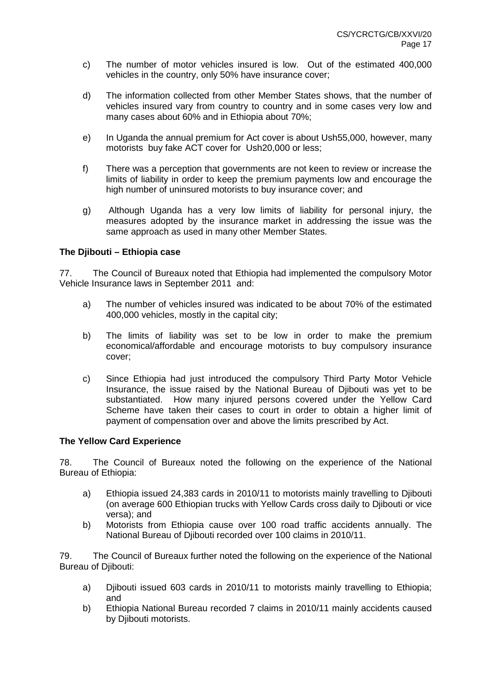- c) The number of motor vehicles insured is low. Out of the estimated 400,000 vehicles in the country, only 50% have insurance cover;
- d) The information collected from other Member States shows, that the number of vehicles insured vary from country to country and in some cases very low and many cases about 60% and in Ethiopia about 70%;
- e) In Uganda the annual premium for Act cover is about Ush55,000, however, many motorists buy fake ACT cover for Ush20,000 or less;
- f) There was a perception that governments are not keen to review or increase the limits of liability in order to keep the premium payments low and encourage the high number of uninsured motorists to buy insurance cover; and
- g) Although Uganda has a very low limits of liability for personal injury, the measures adopted by the insurance market in addressing the issue was the same approach as used in many other Member States.

#### **The Djibouti – Ethiopia case**

77. The Council of Bureaux noted that Ethiopia had implemented the compulsory Motor Vehicle Insurance laws in September 2011 and:

- a) The number of vehicles insured was indicated to be about 70% of the estimated 400,000 vehicles, mostly in the capital city;
- b) The limits of liability was set to be low in order to make the premium economical/affordable and encourage motorists to buy compulsory insurance cover;
- c) Since Ethiopia had just introduced the compulsory Third Party Motor Vehicle Insurance, the issue raised by the National Bureau of Djibouti was yet to be substantiated. How many injured persons covered under the Yellow Card Scheme have taken their cases to court in order to obtain a higher limit of payment of compensation over and above the limits prescribed by Act.

#### **The Yellow Card Experience**

78. The Council of Bureaux noted the following on the experience of the National Bureau of Ethiopia:

- a) Ethiopia issued 24,383 cards in 2010/11 to motorists mainly travelling to Djibouti (on average 600 Ethiopian trucks with Yellow Cards cross daily to Djibouti or vice versa); and
- b) Motorists from Ethiopia cause over 100 road traffic accidents annually. The National Bureau of Djibouti recorded over 100 claims in 2010/11.

79. The Council of Bureaux further noted the following on the experience of the National Bureau of Djibouti:

- a) Djibouti issued 603 cards in 2010/11 to motorists mainly travelling to Ethiopia; and
- b) Ethiopia National Bureau recorded 7 claims in 2010/11 mainly accidents caused by Djibouti motorists.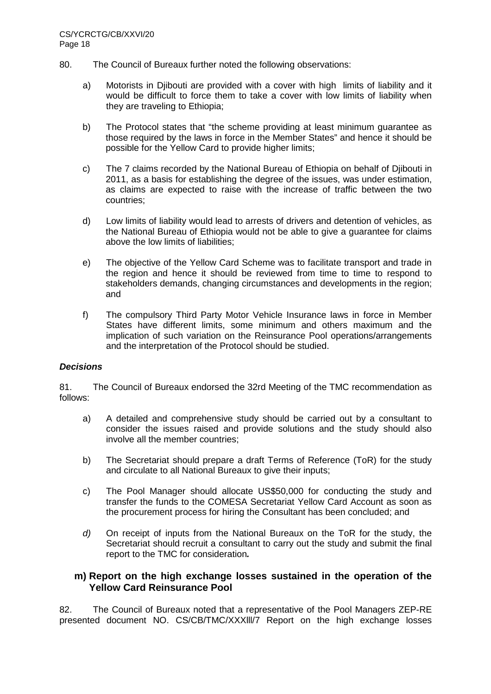- 80. The Council of Bureaux further noted the following observations:
	- a) Motorists in Djibouti are provided with a cover with high limits of liability and it would be difficult to force them to take a cover with low limits of liability when they are traveling to Ethiopia;
	- b) The Protocol states that "the scheme providing at least minimum guarantee as those required by the laws in force in the Member States" and hence it should be possible for the Yellow Card to provide higher limits;
	- c) The 7 claims recorded by the National Bureau of Ethiopia on behalf of Djibouti in 2011, as a basis for establishing the degree of the issues, was under estimation, as claims are expected to raise with the increase of traffic between the two countries;
	- d) Low limits of liability would lead to arrests of drivers and detention of vehicles, as the National Bureau of Ethiopia would not be able to give a guarantee for claims above the low limits of liabilities;
	- e) The objective of the Yellow Card Scheme was to facilitate transport and trade in the region and hence it should be reviewed from time to time to respond to stakeholders demands, changing circumstances and developments in the region; and
	- f) The compulsory Third Party Motor Vehicle Insurance laws in force in Member States have different limits, some minimum and others maximum and the implication of such variation on the Reinsurance Pool operations/arrangements and the interpretation of the Protocol should be studied.

## **Decisions**

81. The Council of Bureaux endorsed the 32rd Meeting of the TMC recommendation as follows:

- a) A detailed and comprehensive study should be carried out by a consultant to consider the issues raised and provide solutions and the study should also involve all the member countries;
- b) The Secretariat should prepare a draft Terms of Reference (ToR) for the study and circulate to all National Bureaux to give their inputs;
- c) The Pool Manager should allocate US\$50,000 for conducting the study and transfer the funds to the COMESA Secretariat Yellow Card Account as soon as the procurement process for hiring the Consultant has been concluded; and
- d) On receipt of inputs from the National Bureaux on the ToR for the study, the Secretariat should recruit a consultant to carry out the study and submit the final report to the TMC for consideration**.**

## **m) Report on the high exchange losses sustained in the operation of the Yellow Card Reinsurance Pool**

82. The Council of Bureaux noted that a representative of the Pool Managers ZEP-RE presented document NO. CS/CB/TMC/XXXlll/7 Report on the high exchange losses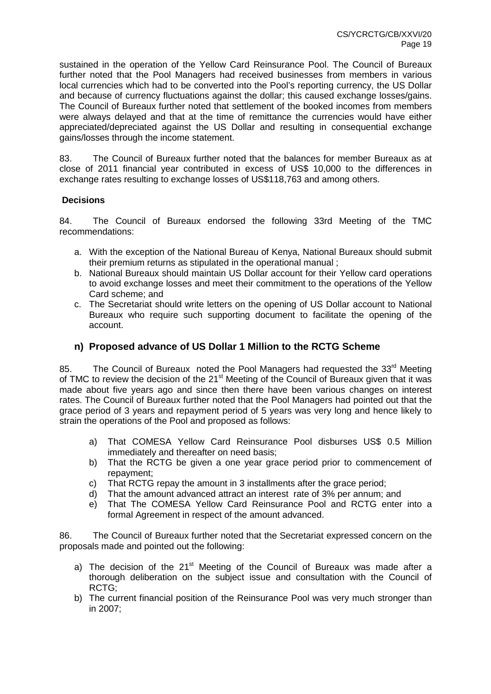sustained in the operation of the Yellow Card Reinsurance Pool. The Council of Bureaux further noted that the Pool Managers had received businesses from members in various local currencies which had to be converted into the Pool's reporting currency, the US Dollar and because of currency fluctuations against the dollar; this caused exchange losses/gains. The Council of Bureaux further noted that settlement of the booked incomes from members were always delayed and that at the time of remittance the currencies would have either appreciated/depreciated against the US Dollar and resulting in consequential exchange gains/losses through the income statement.

83. The Council of Bureaux further noted that the balances for member Bureaux as at close of 2011 financial year contributed in excess of US\$ 10,000 to the differences in exchange rates resulting to exchange losses of US\$118,763 and among others.

## **Decisions**

84. The Council of Bureaux endorsed the following 33rd Meeting of the TMC recommendations:

- a. With the exception of the National Bureau of Kenya, National Bureaux should submit their premium returns as stipulated in the operational manual ;
- b. National Bureaux should maintain US Dollar account for their Yellow card operations to avoid exchange losses and meet their commitment to the operations of the Yellow Card scheme; and
- c. The Secretariat should write letters on the opening of US Dollar account to National Bureaux who require such supporting document to facilitate the opening of the account.

# **n) Proposed advance of US Dollar 1 Million to the RCTG Scheme**

85. The Council of Bureaux noted the Pool Managers had requested the 33<sup>rd</sup> Meeting of TMC to review the decision of the 21<sup>st</sup> Meeting of the Council of Bureaux given that it was made about five years ago and since then there have been various changes on interest rates. The Council of Bureaux further noted that the Pool Managers had pointed out that the grace period of 3 years and repayment period of 5 years was very long and hence likely to strain the operations of the Pool and proposed as follows:

- a) That COMESA Yellow Card Reinsurance Pool disburses US\$ 0.5 Million immediately and thereafter on need basis;
- b) That the RCTG be given a one year grace period prior to commencement of repayment;
- c) That RCTG repay the amount in 3 installments after the grace period;
- d) That the amount advanced attract an interest rate of 3% per annum; and
- e) That The COMESA Yellow Card Reinsurance Pool and RCTG enter into a formal Agreement in respect of the amount advanced.

86. The Council of Bureaux further noted that the Secretariat expressed concern on the proposals made and pointed out the following:

- a) The decision of the  $21<sup>st</sup>$  Meeting of the Council of Bureaux was made after a thorough deliberation on the subject issue and consultation with the Council of RCTG;
- b) The current financial position of the Reinsurance Pool was very much stronger than in 2007;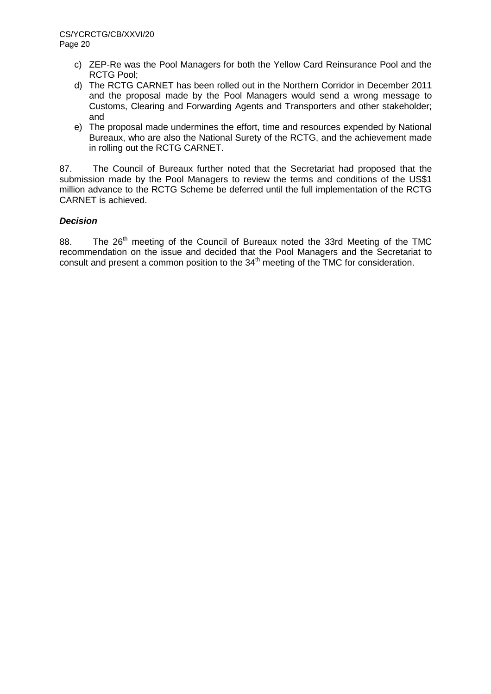- c) ZEP-Re was the Pool Managers for both the Yellow Card Reinsurance Pool and the RCTG Pool;
- d) The RCTG CARNET has been rolled out in the Northern Corridor in December 2011 and the proposal made by the Pool Managers would send a wrong message to Customs, Clearing and Forwarding Agents and Transporters and other stakeholder; and
- e) The proposal made undermines the effort, time and resources expended by National Bureaux, who are also the National Surety of the RCTG, and the achievement made in rolling out the RCTG CARNET.

87. The Council of Bureaux further noted that the Secretariat had proposed that the submission made by the Pool Managers to review the terms and conditions of the US\$1 million advance to the RCTG Scheme be deferred until the full implementation of the RCTG CARNET is achieved.

## **Decision**

88. The  $26<sup>th</sup>$  meeting of the Council of Bureaux noted the 33rd Meeting of the TMC recommendation on the issue and decided that the Pool Managers and the Secretariat to consult and present a common position to the  $34<sup>th</sup>$  meeting of the TMC for consideration.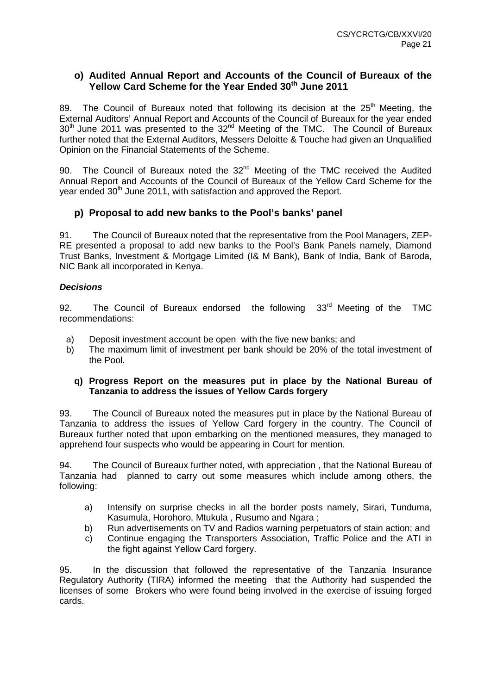## **o) Audited Annual Report and Accounts of the Council of Bureaux of the Yellow Card Scheme for the Year Ended 30th June 2011**

89. The Council of Bureaux noted that following its decision at the  $25<sup>th</sup>$  Meeting, the External Auditors' Annual Report and Accounts of the Council of Bureaux for the year ended 30<sup>th</sup> June 2011 was presented to the 32<sup>nd</sup> Meeting of the TMC. The Council of Bureaux further noted that the External Auditors, Messers Deloitte & Touche had given an Unqualified Opinion on the Financial Statements of the Scheme.

90. The Council of Bureaux noted the  $32<sup>nd</sup>$  Meeting of the TMC received the Audited Annual Report and Accounts of the Council of Bureaux of the Yellow Card Scheme for the year ended 30<sup>th</sup> June 2011, with satisfaction and approved the Report.

# **p) Proposal to add new banks to the Pool's banks' panel**

91. The Council of Bureaux noted that the representative from the Pool Managers, ZEP-RE presented a proposal to add new banks to the Pool's Bank Panels namely, Diamond Trust Banks, Investment & Mortgage Limited (I& M Bank), Bank of India, Bank of Baroda, NIC Bank all incorporated in Kenya.

## **Decisions**

92. The Council of Bureaux endorsed the following  $33<sup>rd</sup>$  Meeting of the TMC recommendations:

- a) Deposit investment account be open with the five new banks; and
- b) The maximum limit of investment per bank should be 20% of the total investment of the Pool.

## **q) Progress Report on the measures put in place by the National Bureau of Tanzania to address the issues of Yellow Cards forgery**

93. The Council of Bureaux noted the measures put in place by the National Bureau of Tanzania to address the issues of Yellow Card forgery in the country. The Council of Bureaux further noted that upon embarking on the mentioned measures, they managed to apprehend four suspects who would be appearing in Court for mention.

94. The Council of Bureaux further noted, with appreciation , that the National Bureau of Tanzania had planned to carry out some measures which include among others, the following:

- a) Intensify on surprise checks in all the border posts namely, Sirari, Tunduma, Kasumula, Horohoro, Mtukula , Rusumo and Ngara ;
- b) Run advertisements on TV and Radios warning perpetuators of stain action; and
- c) Continue engaging the Transporters Association, Traffic Police and the ATI in the fight against Yellow Card forgery.

95. In the discussion that followed the representative of the Tanzania Insurance Regulatory Authority (TIRA) informed the meeting that the Authority had suspended the licenses of some Brokers who were found being involved in the exercise of issuing forged cards.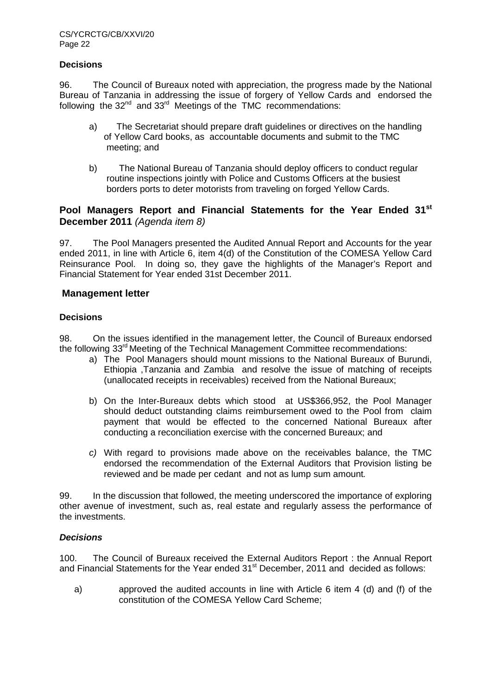## **Decisions**

96. The Council of Bureaux noted with appreciation, the progress made by the National Bureau of Tanzania in addressing the issue of forgery of Yellow Cards and endorsed the following the  $32<sup>nd</sup>$  and  $33<sup>rd</sup>$  Meetings of the TMC recommendations:

- a) The Secretariat should prepare draft guidelines or directives on the handling of Yellow Card books, as accountable documents and submit to the TMC meeting; and
- b) The National Bureau of Tanzania should deploy officers to conduct regular routine inspections jointly with Police and Customs Officers at the busiest borders ports to deter motorists from traveling on forged Yellow Cards.

## **Pool Managers Report and Financial Statements for the Year Ended 31st December 2011** (Agenda item 8)

97. The Pool Managers presented the Audited Annual Report and Accounts for the year ended 2011, in line with Article 6, item 4(d) of the Constitution of the COMESA Yellow Card Reinsurance Pool. In doing so, they gave the highlights of the Manager's Report and Financial Statement for Year ended 31st December 2011.

## **Management letter**

#### **Decisions**

98. On the issues identified in the management letter, the Council of Bureaux endorsed the following 33<sup>rd</sup> Meeting of the Technical Management Committee recommendations:

- a) The Pool Managers should mount missions to the National Bureaux of Burundi, Ethiopia ,Tanzania and Zambia and resolve the issue of matching of receipts (unallocated receipts in receivables) received from the National Bureaux;
- b) On the Inter-Bureaux debts which stood at US\$366,952, the Pool Manager should deduct outstanding claims reimbursement owed to the Pool from claim payment that would be effected to the concerned National Bureaux after conducting a reconciliation exercise with the concerned Bureaux; and
- c) With regard to provisions made above on the receivables balance, the TMC endorsed the recommendation of the External Auditors that Provision listing be reviewed and be made per cedant and not as lump sum amount.

99. In the discussion that followed, the meeting underscored the importance of exploring other avenue of investment, such as, real estate and regularly assess the performance of the investments.

## **Decisions**

100. The Council of Bureaux received the External Auditors Report : the Annual Report and Financial Statements for the Year ended 31<sup>st</sup> December, 2011 and decided as follows:

a) approved the audited accounts in line with Article 6 item 4 (d) and (f) of the constitution of the COMESA Yellow Card Scheme;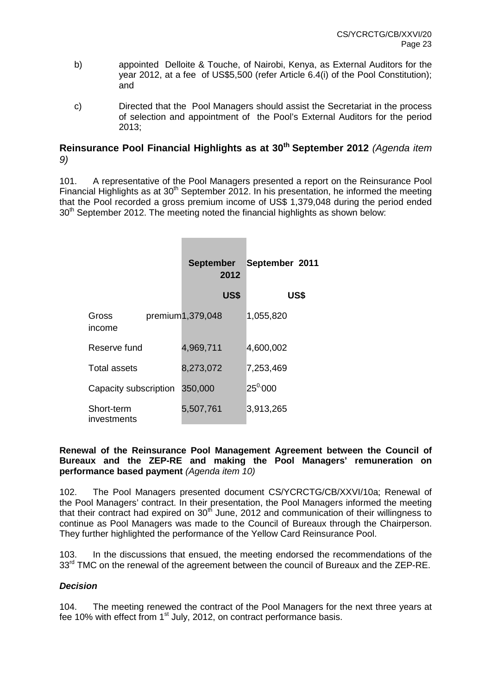- b) appointed Delloite & Touche, of Nairobi, Kenya, as External Auditors for the year 2012, at a fee of US\$5,500 (refer Article 6.4(i) of the Pool Constitution); and
- c) Directed that the Pool Managers should assist the Secretariat in the process of selection and appointment of the Pool's External Auditors for the period 2013;

# **Reinsurance Pool Financial Highlights as at 30th September 2012** (Agenda item 9)

101. A representative of the Pool Managers presented a report on the Reinsurance Pool Financial Highlights as at  $30<sup>th</sup>$  September 2012. In his presentation, he informed the meeting that the Pool recorded a gross premium income of US\$ 1,379,048 during the period ended 30<sup>th</sup> September 2012. The meeting noted the financial highlights as shown below:

|                           | <b>September</b><br>2012 | September 2011    |  |
|---------------------------|--------------------------|-------------------|--|
|                           | US\$                     | US\$              |  |
| Gross<br>income           | premium1,379,048         | 1,055,820         |  |
| Reserve fund              | 4,969,711                | 4,600,002         |  |
| Total assets              | 8,273,072                | 7,253,469         |  |
| Capacity subscription     | 350,000                  | $25^{\degree}000$ |  |
| Short-term<br>investments | 5,507,761                | 3,913,265         |  |

### **Renewal of the Reinsurance Pool Management Agreement between the Council of Bureaux and the ZEP-RE and making the Pool Managers' remuneration on performance based payment** (Agenda item 10)

102. The Pool Managers presented document CS/YCRCTG/CB/XXVI/10a; Renewal of the Pool Managers' contract. In their presentation, the Pool Managers informed the meeting that their contract had expired on  $30<sup>th</sup>$  June, 2012 and communication of their willingness to continue as Pool Managers was made to the Council of Bureaux through the Chairperson. They further highlighted the performance of the Yellow Card Reinsurance Pool.

103. In the discussions that ensued, the meeting endorsed the recommendations of the  $33<sup>rd</sup>$  TMC on the renewal of the agreement between the council of Bureaux and the ZEP-RE.

## **Decision**

104. The meeting renewed the contract of the Pool Managers for the next three years at fee 10% with effect from 1<sup>st</sup> July, 2012, on contract performance basis.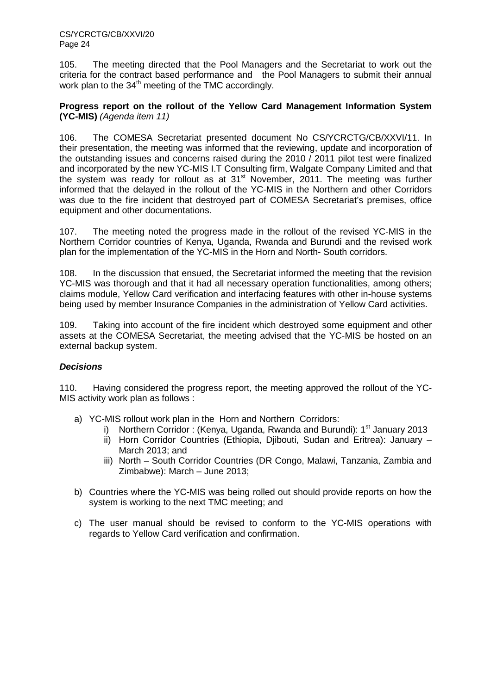105. The meeting directed that the Pool Managers and the Secretariat to work out the criteria for the contract based performance and the Pool Managers to submit their annual work plan to the  $34<sup>th</sup>$  meeting of the TMC accordingly.

## **Progress report on the rollout of the Yellow Card Management Information System (YC-MIS)** (Agenda item 11)

106. The COMESA Secretariat presented document No CS/YCRCTG/CB/XXVI/11. In their presentation, the meeting was informed that the reviewing, update and incorporation of the outstanding issues and concerns raised during the 2010 / 2011 pilot test were finalized and incorporated by the new YC-MIS I.T Consulting firm, Walgate Company Limited and that the system was ready for rollout as at  $31<sup>st</sup>$  November, 2011. The meeting was further informed that the delayed in the rollout of the YC-MIS in the Northern and other Corridors was due to the fire incident that destroyed part of COMESA Secretariat's premises, office equipment and other documentations.

107. The meeting noted the progress made in the rollout of the revised YC-MIS in the Northern Corridor countries of Kenya, Uganda, Rwanda and Burundi and the revised work plan for the implementation of the YC-MIS in the Horn and North- South corridors.

108. In the discussion that ensued, the Secretariat informed the meeting that the revision YC-MIS was thorough and that it had all necessary operation functionalities, among others; claims module, Yellow Card verification and interfacing features with other in-house systems being used by member Insurance Companies in the administration of Yellow Card activities.

109. Taking into account of the fire incident which destroyed some equipment and other assets at the COMESA Secretariat, the meeting advised that the YC-MIS be hosted on an external backup system.

## **Decisions**

110. Having considered the progress report, the meeting approved the rollout of the YC-MIS activity work plan as follows :

- a) YC-MIS rollout work plan in the Horn and Northern Corridors:
	- Northern Corridor : (Kenya, Uganda, Rwanda and Burundi): 1<sup>st</sup> January 2013
	- ii) Horn Corridor Countries (Ethiopia, Djibouti, Sudan and Eritrea): January March 2013; and
	- iii) North South Corridor Countries (DR Congo, Malawi, Tanzania, Zambia and Zimbabwe): March – June 2013;
- b) Countries where the YC-MIS was being rolled out should provide reports on how the system is working to the next TMC meeting; and
- c) The user manual should be revised to conform to the YC-MIS operations with regards to Yellow Card verification and confirmation.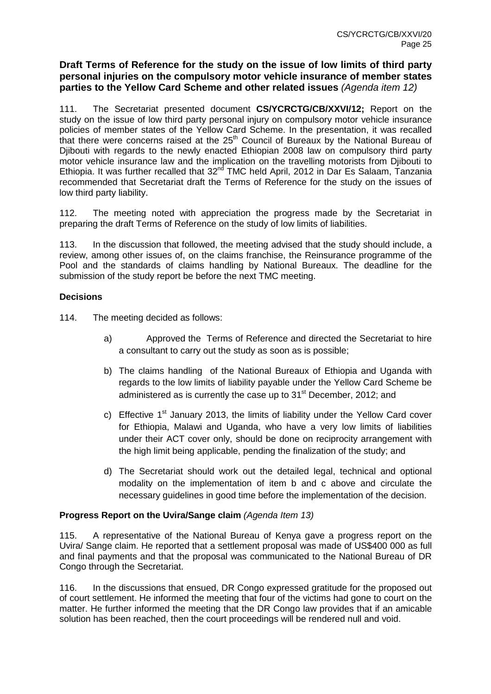## **Draft Terms of Reference for the study on the issue of low limits of third party personal injuries on the compulsory motor vehicle insurance of member states parties to the Yellow Card Scheme and other related issues** (Agenda item 12)

111. The Secretariat presented document **CS/YCRCTG/CB/XXVI/12;** Report on the study on the issue of low third party personal injury on compulsory motor vehicle insurance policies of member states of the Yellow Card Scheme. In the presentation, it was recalled that there were concerns raised at the  $25<sup>th</sup>$  Council of Bureaux by the National Bureau of Djibouti with regards to the newly enacted Ethiopian 2008 law on compulsory third party motor vehicle insurance law and the implication on the travelling motorists from Djibouti to Ethiopia. It was further recalled that 32<sup>nd</sup> TMC held April, 2012 in Dar Es Salaam, Tanzania recommended that Secretariat draft the Terms of Reference for the study on the issues of low third party liability.

112. The meeting noted with appreciation the progress made by the Secretariat in preparing the draft Terms of Reference on the study of low limits of liabilities.

113. In the discussion that followed, the meeting advised that the study should include, a review, among other issues of, on the claims franchise, the Reinsurance programme of the Pool and the standards of claims handling by National Bureaux. The deadline for the submission of the study report be before the next TMC meeting.

## **Decisions**

114. The meeting decided as follows:

- a) Approved the Terms of Reference and directed the Secretariat to hire a consultant to carry out the study as soon as is possible;
- b) The claims handling of the National Bureaux of Ethiopia and Uganda with regards to the low limits of liability payable under the Yellow Card Scheme be administered as is currently the case up to 31<sup>st</sup> December, 2012; and
- c) Effective  $1<sup>st</sup>$  January 2013, the limits of liability under the Yellow Card cover for Ethiopia, Malawi and Uganda, who have a very low limits of liabilities under their ACT cover only, should be done on reciprocity arrangement with the high limit being applicable, pending the finalization of the study; and
- d) The Secretariat should work out the detailed legal, technical and optional modality on the implementation of item b and c above and circulate the necessary guidelines in good time before the implementation of the decision.

## **Progress Report on the Uvira/Sange claim** (Agenda Item 13)

115. A representative of the National Bureau of Kenya gave a progress report on the Uvira/ Sange claim. He reported that a settlement proposal was made of US\$400 000 as full and final payments and that the proposal was communicated to the National Bureau of DR Congo through the Secretariat.

116. In the discussions that ensued, DR Congo expressed gratitude for the proposed out of court settlement. He informed the meeting that four of the victims had gone to court on the matter. He further informed the meeting that the DR Congo law provides that if an amicable solution has been reached, then the court proceedings will be rendered null and void.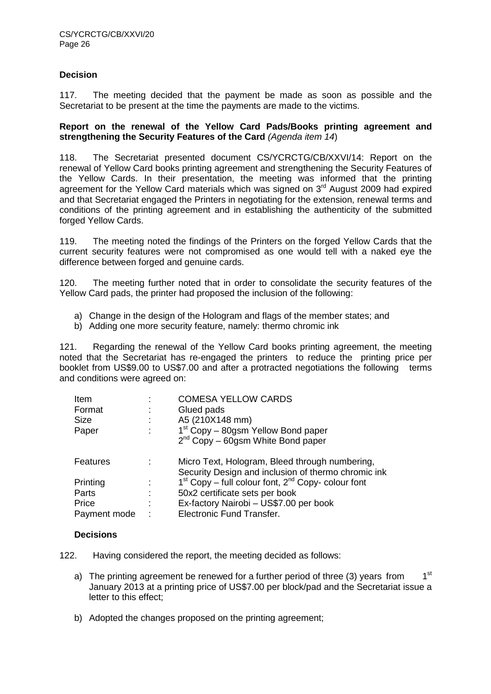## **Decision**

117. The meeting decided that the payment be made as soon as possible and the Secretariat to be present at the time the payments are made to the victims.

### **Report on the renewal of the Yellow Card Pads/Books printing agreement and**  strengthening the Security Features of the Card (Agenda item 14)

118. The Secretariat presented document CS/YCRCTG/CB/XXVI/14: Report on the renewal of Yellow Card books printing agreement and strengthening the Security Features of the Yellow Cards. In their presentation, the meeting was informed that the printing agreement for the Yellow Card materials which was signed on 3<sup>rd</sup> August 2009 had expired and that Secretariat engaged the Printers in negotiating for the extension, renewal terms and conditions of the printing agreement and in establishing the authenticity of the submitted forged Yellow Cards.

119. The meeting noted the findings of the Printers on the forged Yellow Cards that the current security features were not compromised as one would tell with a naked eye the difference between forged and genuine cards.

120. The meeting further noted that in order to consolidate the security features of the Yellow Card pads, the printer had proposed the inclusion of the following:

- a) Change in the design of the Hologram and flags of the member states; and
- b) Adding one more security feature, namely: thermo chromic ink

121. Regarding the renewal of the Yellow Card books printing agreement, the meeting noted that the Secretariat has re-engaged the printers to reduce the printing price per booklet from US\$9.00 to US\$7.00 and after a protracted negotiations the following terms and conditions were agreed on:

| Item         | <b>COMESA YELLOW CARDS</b>                                                                            |
|--------------|-------------------------------------------------------------------------------------------------------|
| Format       | Glued pads                                                                                            |
| Size         | A5 (210X148 mm)                                                                                       |
| Paper        | 1 <sup>st</sup> Copy – 80gsm Yellow Bond paper                                                        |
|              | $2^{nd}$ Copy – 60gsm White Bond paper                                                                |
| Features     | Micro Text, Hologram, Bleed through numbering,<br>Security Design and inclusion of thermo chromic ink |
| Printing     | $1st$ Copy – full colour font, $2nd$ Copy- colour font                                                |
| Parts        | 50x2 certificate sets per book                                                                        |
| Price        | Ex-factory Nairobi - US\$7.00 per book                                                                |
| Payment mode | Electronic Fund Transfer.                                                                             |

## **Decisions**

122. Having considered the report, the meeting decided as follows:

- a) The printing agreement be renewed for a further period of three (3) years from  $1<sup>st</sup>$ January 2013 at a printing price of US\$7.00 per block/pad and the Secretariat issue a letter to this effect;
- b) Adopted the changes proposed on the printing agreement: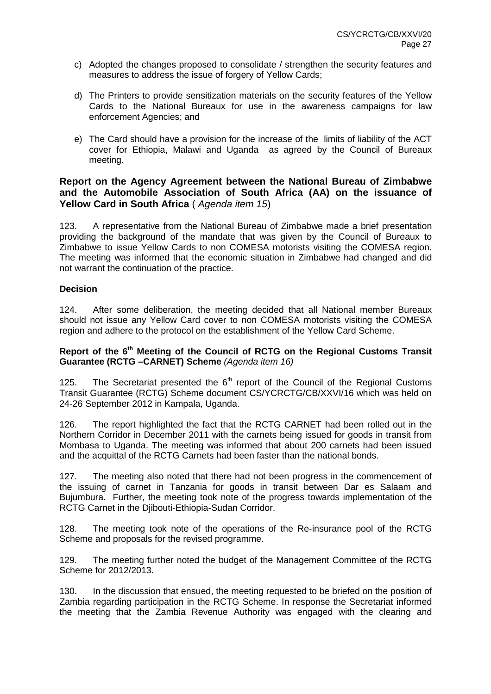- c) Adopted the changes proposed to consolidate / strengthen the security features and measures to address the issue of forgery of Yellow Cards;
- d) The Printers to provide sensitization materials on the security features of the Yellow Cards to the National Bureaux for use in the awareness campaigns for law enforcement Agencies; and
- e) The Card should have a provision for the increase of the limits of liability of the ACT cover for Ethiopia, Malawi and Uganda as agreed by the Council of Bureaux meeting.

## **Report on the Agency Agreement between the National Bureau of Zimbabwe and the Automobile Association of South Africa (AA) on the issuance of Yellow Card in South Africa** (Agenda item 15)

123. A representative from the National Bureau of Zimbabwe made a brief presentation providing the background of the mandate that was given by the Council of Bureaux to Zimbabwe to issue Yellow Cards to non COMESA motorists visiting the COMESA region. The meeting was informed that the economic situation in Zimbabwe had changed and did not warrant the continuation of the practice.

## **Decision**

124. After some deliberation, the meeting decided that all National member Bureaux should not issue any Yellow Card cover to non COMESA motorists visiting the COMESA region and adhere to the protocol on the establishment of the Yellow Card Scheme.

## **Report of the 6th Meeting of the Council of RCTG on the Regional Customs Transit Guarantee (RCTG –CARNET) Scheme** (Agenda item 16)

125. The Secretariat presented the  $6<sup>th</sup>$  report of the Council of the Regional Customs Transit Guarantee (RCTG) Scheme document CS/YCRCTG/CB/XXVI/16 which was held on 24-26 September 2012 in Kampala, Uganda.

126. The report highlighted the fact that the RCTG CARNET had been rolled out in the Northern Corridor in December 2011 with the carnets being issued for goods in transit from Mombasa to Uganda. The meeting was informed that about 200 carnets had been issued and the acquittal of the RCTG Carnets had been faster than the national bonds.

127. The meeting also noted that there had not been progress in the commencement of the issuing of carnet in Tanzania for goods in transit between Dar es Salaam and Bujumbura. Further, the meeting took note of the progress towards implementation of the RCTG Carnet in the Djibouti-Ethiopia-Sudan Corridor.

128. The meeting took note of the operations of the Re-insurance pool of the RCTG Scheme and proposals for the revised programme.

129. The meeting further noted the budget of the Management Committee of the RCTG Scheme for 2012/2013.

130. In the discussion that ensued, the meeting requested to be briefed on the position of Zambia regarding participation in the RCTG Scheme. In response the Secretariat informed the meeting that the Zambia Revenue Authority was engaged with the clearing and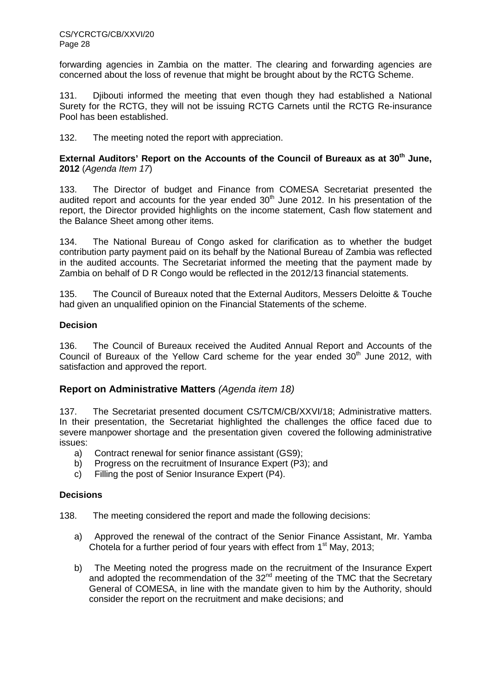forwarding agencies in Zambia on the matter. The clearing and forwarding agencies are concerned about the loss of revenue that might be brought about by the RCTG Scheme.

131. Djibouti informed the meeting that even though they had established a National Surety for the RCTG, they will not be issuing RCTG Carnets until the RCTG Re-insurance Pool has been established.

132. The meeting noted the report with appreciation.

**External Auditors' Report on the Accounts of the Council of Bureaux as at 30th June, 2012** (Agenda Item 17)

133. The Director of budget and Finance from COMESA Secretariat presented the audited report and accounts for the year ended  $30<sup>th</sup>$  June 2012. In his presentation of the report, the Director provided highlights on the income statement, Cash flow statement and the Balance Sheet among other items.

134. The National Bureau of Congo asked for clarification as to whether the budget contribution party payment paid on its behalf by the National Bureau of Zambia was reflected in the audited accounts. The Secretariat informed the meeting that the payment made by Zambia on behalf of D R Congo would be reflected in the 2012/13 financial statements.

135. The Council of Bureaux noted that the External Auditors, Messers Deloitte & Touche had given an unqualified opinion on the Financial Statements of the scheme.

## **Decision**

136. The Council of Bureaux received the Audited Annual Report and Accounts of the Council of Bureaux of the Yellow Card scheme for the year ended  $30<sup>th</sup>$  June 2012, with satisfaction and approved the report.

## **Report on Administrative Matters** (Agenda item 18)

137. The Secretariat presented document CS/TCM/CB/XXVI/18; Administrative matters. In their presentation, the Secretariat highlighted the challenges the office faced due to severe manpower shortage and the presentation given covered the following administrative issues:

- a) Contract renewal for senior finance assistant (GS9);
- b) Progress on the recruitment of Insurance Expert (P3); and
- c) Filling the post of Senior Insurance Expert (P4).

## **Decisions**

138. The meeting considered the report and made the following decisions:

- a) Approved the renewal of the contract of the Senior Finance Assistant, Mr. Yamba Chotela for a further period of four years with effect from  $1<sup>st</sup>$  May, 2013;
- b) The Meeting noted the progress made on the recruitment of the Insurance Expert and adopted the recommendation of the 32<sup>nd</sup> meeting of the TMC that the Secretary General of COMESA, in line with the mandate given to him by the Authority, should consider the report on the recruitment and make decisions; and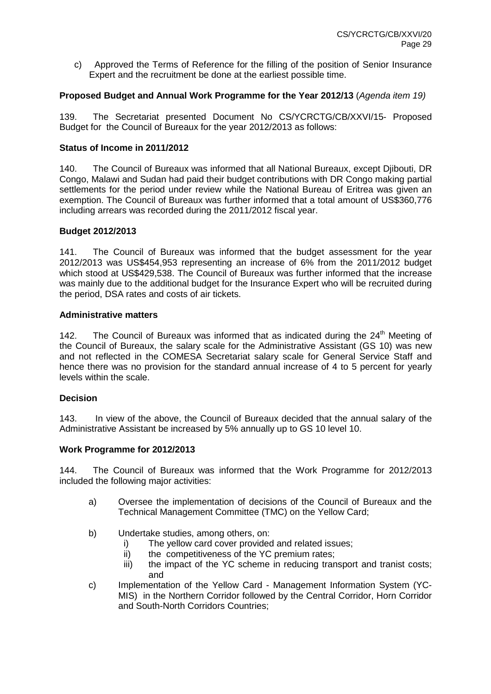c) Approved the Terms of Reference for the filling of the position of Senior Insurance Expert and the recruitment be done at the earliest possible time.

### **Proposed Budget and Annual Work Programme for the Year 2012/13** (Agenda item 19)

139. The Secretariat presented Document No CS/YCRCTG/CB/XXVI/15- Proposed Budget for the Council of Bureaux for the year 2012/2013 as follows:

#### **Status of Income in 2011/2012**

140. The Council of Bureaux was informed that all National Bureaux, except Djibouti, DR Congo, Malawi and Sudan had paid their budget contributions with DR Congo making partial settlements for the period under review while the National Bureau of Eritrea was given an exemption. The Council of Bureaux was further informed that a total amount of US\$360,776 including arrears was recorded during the 2011/2012 fiscal year.

#### **Budget 2012/2013**

141. The Council of Bureaux was informed that the budget assessment for the year 2012/2013 was US\$454,953 representing an increase of 6% from the 2011/2012 budget which stood at US\$429,538. The Council of Bureaux was further informed that the increase was mainly due to the additional budget for the Insurance Expert who will be recruited during the period, DSA rates and costs of air tickets.

#### **Administrative matters**

142. The Council of Bureaux was informed that as indicated during the  $24<sup>th</sup>$  Meeting of the Council of Bureaux, the salary scale for the Administrative Assistant (GS 10) was new and not reflected in the COMESA Secretariat salary scale for General Service Staff and hence there was no provision for the standard annual increase of 4 to 5 percent for yearly levels within the scale.

## **Decision**

143. In view of the above, the Council of Bureaux decided that the annual salary of the Administrative Assistant be increased by 5% annually up to GS 10 level 10.

## **Work Programme for 2012/2013**

144. The Council of Bureaux was informed that the Work Programme for 2012/2013 included the following major activities:

- a) Oversee the implementation of decisions of the Council of Bureaux and the Technical Management Committee (TMC) on the Yellow Card;
- b) Undertake studies, among others, on:
	- i) The yellow card cover provided and related issues;
	- ii) the competitiveness of the YC premium rates;
	- iii) the impact of the YC scheme in reducing transport and tranist costs; and
- c) Implementation of the Yellow Card Management Information System (YC-MIS) in the Northern Corridor followed by the Central Corridor, Horn Corridor and South-North Corridors Countries;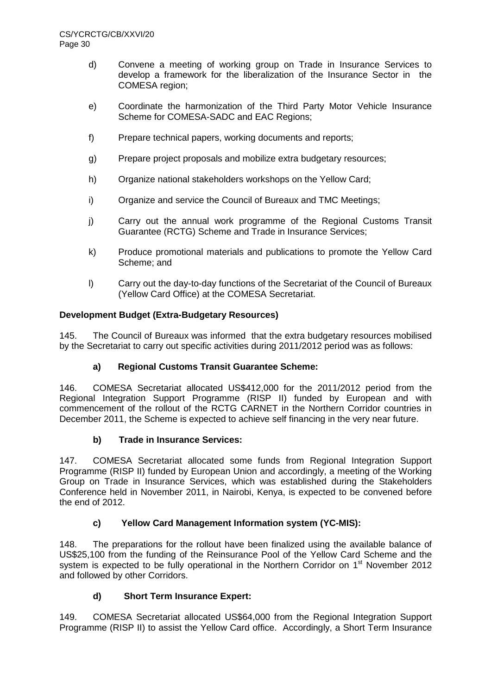- d) Convene a meeting of working group on Trade in Insurance Services to develop a framework for the liberalization of the Insurance Sector in the COMESA region;
- e) Coordinate the harmonization of the Third Party Motor Vehicle Insurance Scheme for COMESA-SADC and EAC Regions;
- f) Prepare technical papers, working documents and reports;
- g) Prepare project proposals and mobilize extra budgetary resources;
- h) Organize national stakeholders workshops on the Yellow Card;
- i) Organize and service the Council of Bureaux and TMC Meetings;
- j) Carry out the annual work programme of the Regional Customs Transit Guarantee (RCTG) Scheme and Trade in Insurance Services;
- k) Produce promotional materials and publications to promote the Yellow Card Scheme; and
- l) Carry out the day-to-day functions of the Secretariat of the Council of Bureaux (Yellow Card Office) at the COMESA Secretariat.

## **Development Budget (Extra-Budgetary Resources)**

145. The Council of Bureaux was informed that the extra budgetary resources mobilised by the Secretariat to carry out specific activities during 2011/2012 period was as follows:

## **a) Regional Customs Transit Guarantee Scheme:**

146. COMESA Secretariat allocated US\$412,000 for the 2011/2012 period from the Regional Integration Support Programme (RISP II) funded by European and with commencement of the rollout of the RCTG CARNET in the Northern Corridor countries in December 2011, the Scheme is expected to achieve self financing in the very near future.

## **b) Trade in Insurance Services:**

147. COMESA Secretariat allocated some funds from Regional Integration Support Programme (RISP II) funded by European Union and accordingly, a meeting of the Working Group on Trade in Insurance Services, which was established during the Stakeholders Conference held in November 2011, in Nairobi, Kenya, is expected to be convened before the end of 2012.

## **c) Yellow Card Management Information system (YC-MIS):**

148. The preparations for the rollout have been finalized using the available balance of US\$25,100 from the funding of the Reinsurance Pool of the Yellow Card Scheme and the system is expected to be fully operational in the Northern Corridor on 1<sup>st</sup> November 2012 and followed by other Corridors.

## **d) Short Term Insurance Expert:**

149. COMESA Secretariat allocated US\$64,000 from the Regional Integration Support Programme (RISP II) to assist the Yellow Card office. Accordingly, a Short Term Insurance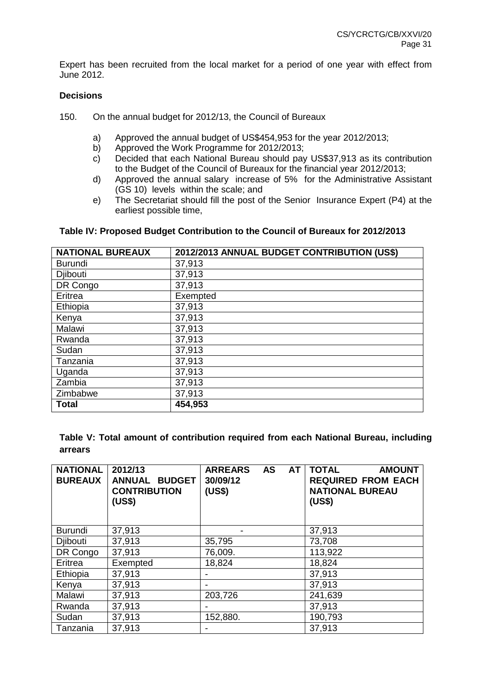Expert has been recruited from the local market for a period of one year with effect from June 2012.

### **Decisions**

- 150. On the annual budget for 2012/13, the Council of Bureaux
	- a) Approved the annual budget of US\$454,953 for the year 2012/2013;
	- b) Approved the Work Programme for 2012/2013;
	- c) Decided that each National Bureau should pay US\$37,913 as its contribution to the Budget of the Council of Bureaux for the financial year 2012/2013;
	- d) Approved the annual salary increase of 5% for the Administrative Assistant (GS 10) levels within the scale; and
	- e) The Secretariat should fill the post of the Senior Insurance Expert (P4) at the earliest possible time,

#### **Table IV: Proposed Budget Contribution to the Council of Bureaux for 2012/2013**

| <b>NATIONAL BUREAUX</b> | 2012/2013 ANNUAL BUDGET CONTRIBUTION (US\$) |
|-------------------------|---------------------------------------------|
| <b>Burundi</b>          | 37,913                                      |
| <b>Djibouti</b>         | 37,913                                      |
| DR Congo                | 37,913                                      |
| Eritrea                 | Exempted                                    |
| Ethiopia                | 37,913                                      |
| Kenya                   | 37,913                                      |
| Malawi                  | 37,913                                      |
| Rwanda                  | 37,913                                      |
| Sudan                   | 37,913                                      |
| Tanzania                | 37,913                                      |
| Uganda                  | 37,913                                      |
| Zambia                  | 37,913                                      |
| Zimbabwe                | 37,913                                      |
| <b>Total</b>            | 454,953                                     |

**Table V: Total amount of contribution required from each National Bureau, including arrears** 

| <b>NATIONAL</b><br><b>BUREAUX</b> | 2012/13<br><b>ANNUAL BUDGET</b><br><b>CONTRIBUTION</b><br>(US\$) | <b>ARREARS</b><br><b>AS</b><br>AT l<br>30/09/12<br>(US\$) | <b>TOTAL</b><br><b>AMOUNT</b><br><b>REQUIRED FROM EACH</b><br><b>NATIONAL BUREAU</b><br>(US\$) |
|-----------------------------------|------------------------------------------------------------------|-----------------------------------------------------------|------------------------------------------------------------------------------------------------|
| <b>Burundi</b>                    | 37,913                                                           |                                                           | 37,913                                                                                         |
| Djibouti                          | 37,913                                                           | 35,795                                                    | 73,708                                                                                         |
| DR Congo                          | 37,913                                                           | 76,009.                                                   | 113,922                                                                                        |
| Eritrea                           | Exempted                                                         | 18,824                                                    | 18,824                                                                                         |
| Ethiopia                          | 37,913                                                           |                                                           | 37,913                                                                                         |
| Kenya                             | 37,913                                                           |                                                           | 37,913                                                                                         |
| Malawi                            | 37,913                                                           | 203,726                                                   | 241,639                                                                                        |
| Rwanda                            | 37,913                                                           |                                                           | 37,913                                                                                         |
| Sudan                             | 37,913                                                           | 152,880.                                                  | 190,793                                                                                        |
| Tanzania                          | 37,913                                                           |                                                           | 37,913                                                                                         |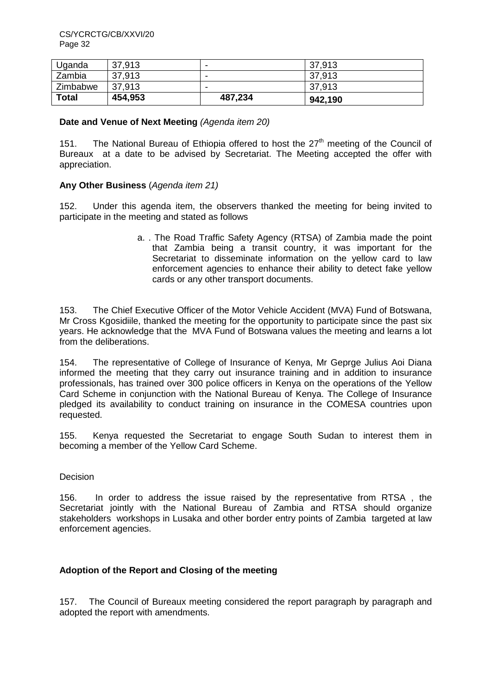| Uganda       | 37,913  | -       | 37,913  |
|--------------|---------|---------|---------|
| Zambia       | 37,913  | -       | 37,913  |
| Zimbabwe     | 37,913  | -       | 37,913  |
| <b>Total</b> | 454,953 | 487,234 | 942,190 |

#### **Date and Venue of Next Meeting** (Agenda item 20)

151. The National Bureau of Ethiopia offered to host the 27<sup>th</sup> meeting of the Council of Bureaux at a date to be advised by Secretariat. The Meeting accepted the offer with appreciation.

## **Any Other Business** (Agenda item 21)

152. Under this agenda item, the observers thanked the meeting for being invited to participate in the meeting and stated as follows

> a. . The Road Traffic Safety Agency (RTSA) of Zambia made the point that Zambia being a transit country, it was important for the Secretariat to disseminate information on the yellow card to law enforcement agencies to enhance their ability to detect fake yellow cards or any other transport documents.

153. The Chief Executive Officer of the Motor Vehicle Accident (MVA) Fund of Botswana, Mr Cross Kgosidiile, thanked the meeting for the opportunity to participate since the past six years. He acknowledge that the MVA Fund of Botswana values the meeting and learns a lot from the deliberations.

154. The representative of College of Insurance of Kenya, Mr Geprge Julius Aoi Diana informed the meeting that they carry out insurance training and in addition to insurance professionals, has trained over 300 police officers in Kenya on the operations of the Yellow Card Scheme in conjunction with the National Bureau of Kenya. The College of Insurance pledged its availability to conduct training on insurance in the COMESA countries upon requested.

155. Kenya requested the Secretariat to engage South Sudan to interest them in becoming a member of the Yellow Card Scheme.

## Decision

156. In order to address the issue raised by the representative from RTSA , the Secretariat jointly with the National Bureau of Zambia and RTSA should organize stakeholders workshops in Lusaka and other border entry points of Zambia targeted at law enforcement agencies.

## **Adoption of the Report and Closing of the meeting**

157. The Council of Bureaux meeting considered the report paragraph by paragraph and adopted the report with amendments.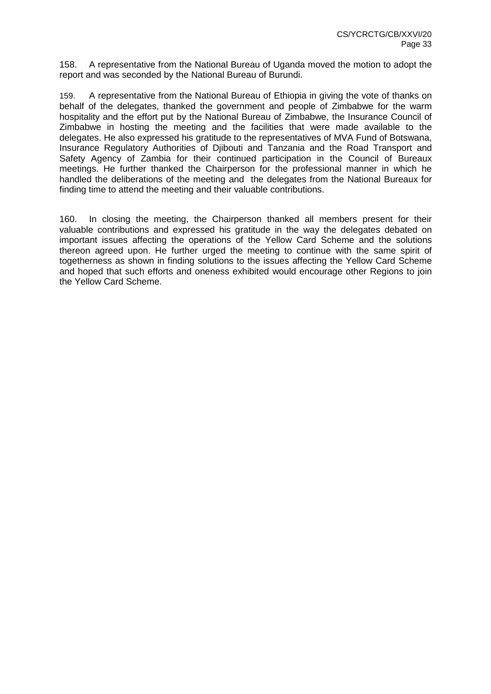158. A representative from the National Bureau of Uganda moved the motion to adopt the report and was seconded by the National Bureau of Burundi.

159. A representative from the National Bureau of Ethiopia in giving the vote of thanks on behalf of the delegates, thanked the government and people of Zimbabwe for the warm hospitality and the effort put by the National Bureau of Zimbabwe, the Insurance Council of Zimbabwe in hosting the meeting and the facilities that were made available to the delegates. He also expressed his gratitude to the representatives of MVA Fund of Botswana, Insurance Regulatory Authorities of Djibouti and Tanzania and the Road Transport and Safety Agency of Zambia for their continued participation in the Council of Bureaux meetings. He further thanked the Chairperson for the professional manner in which he handled the deliberations of the meeting and the delegates from the National Bureaux for finding time to attend the meeting and their valuable contributions.

160. In closing the meeting, the Chairperson thanked all members present for their valuable contributions and expressed his gratitude in the way the delegates debated on important issues affecting the operations of the Yellow Card Scheme and the solutions thereon agreed upon. He further urged the meeting to continue with the same spirit of togetherness as shown in finding solutions to the issues affecting the Yellow Card Scheme and hoped that such efforts and oneness exhibited would encourage other Regions to join the Yellow Card Scheme.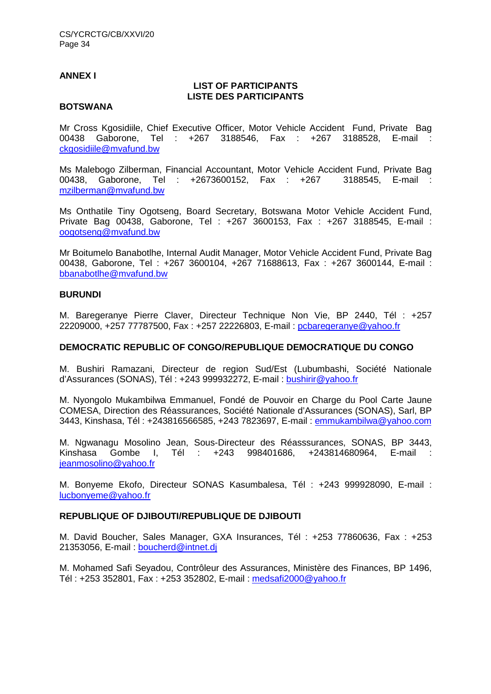#### **ANNEX I**

#### **LIST OF PARTICIPANTS LISTE DES PARTICIPANTS**

#### **BOTSWANA**

Mr Cross Kgosidiile, Chief Executive Officer, Motor Vehicle Accident Fund, Private Bag 00438 Gaborone, Tel : +267 3188546, Fax : +267 3188528, E-mail : ckgosidiile@mvafund.bw

Ms Malebogo Zilberman, Financial Accountant, Motor Vehicle Accident Fund, Private Bag 00438, Gaborone, Tel : +2673600152, Fax : +267 3188545, E-mail : mzilberman@mvafund.bw

Ms Onthatile Tiny Ogotseng, Board Secretary, Botswana Motor Vehicle Accident Fund, Private Bag 00438, Gaborone, Tel : +267 3600153, Fax : +267 3188545, E-mail : oogotseng@mvafund.bw

Mr Boitumelo Banabotlhe, Internal Audit Manager, Motor Vehicle Accident Fund, Private Bag 00438, Gaborone, Tel : +267 3600104, +267 71688613, Fax : +267 3600144, E-mail : bbanabotlhe@mvafund.bw

## **BURUNDI**

M. Baregeranye Pierre Claver, Directeur Technique Non Vie, BP 2440, Tél : +257 22209000, +257 77787500, Fax : +257 22226803, E-mail : pcbaregeranye@yahoo.fr

### **DEMOCRATIC REPUBLIC OF CONGO/REPUBLIQUE DEMOCRATIQUE DU CONGO**

M. Bushiri Ramazani, Directeur de region Sud/Est (Lubumbashi, Société Nationale d'Assurances (SONAS), Tél : +243 999932272, E-mail : bushirir@yahoo.fr

M. Nyongolo Mukambilwa Emmanuel, Fondé de Pouvoir en Charge du Pool Carte Jaune COMESA, Direction des Réassurances, Société Nationale d'Assurances (SONAS), Sarl, BP 3443, Kinshasa, Tél : +243816566585, +243 7823697, E-mail : emmukambilwa@yahoo.com

M. Ngwanagu Mosolino Jean, Sous-Directeur des Réasssurances, SONAS, BP 3443, Kinshasa Gombe I, Tél : +243 998401686, +243814680964, E-mail : jeanmosolino@yahoo.fr

M. Bonyeme Ekofo, Directeur SONAS Kasumbalesa, Tél : +243 999928090, E-mail : lucbonyeme@yahoo.fr

#### **REPUBLIQUE OF DJIBOUTI/REPUBLIQUE DE DJIBOUTI**

M. David Boucher, Sales Manager, GXA Insurances, Tél : +253 77860636, Fax : +253 21353056, E-mail : boucherd@intnet.dj

M. Mohamed Safi Seyadou, Contrôleur des Assurances, Ministère des Finances, BP 1496, Tél : +253 352801, Fax : +253 352802, E-mail : medsafi2000@yahoo.fr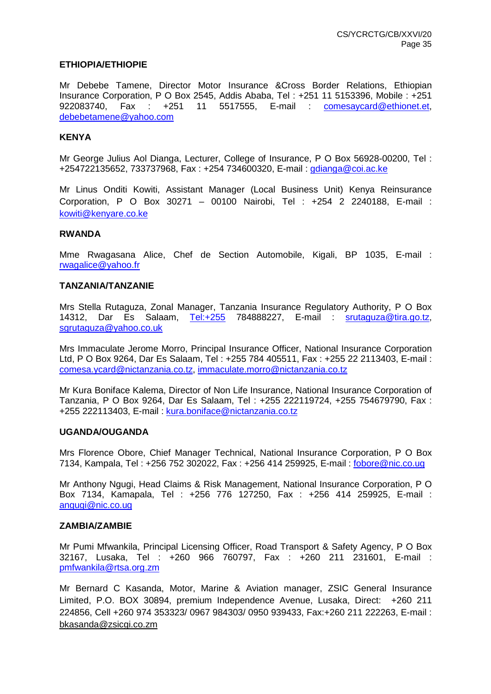#### **ETHIOPIA/ETHIOPIE**

Mr Debebe Tamene, Director Motor Insurance &Cross Border Relations, Ethiopian Insurance Corporation, P O Box 2545, Addis Ababa, Tel : +251 11 5153396, Mobile : +251 922083740, Fax : +251 11 5517555, E-mail : comesaycard@ethionet.et, debebetamene@yahoo.com

#### **KENYA**

Mr George Julius Aol Dianga, Lecturer, College of Insurance, P O Box 56928-00200, Tel : +254722135652, 733737968, Fax : +254 734600320, E-mail : gdianga@coi.ac.ke

Mr Linus Onditi Kowiti, Assistant Manager (Local Business Unit) Kenya Reinsurance Corporation, P O Box 30271 – 00100 Nairobi, Tel : +254 2 2240188, E-mail : kowiti@kenyare.co.ke

#### **RWANDA**

Mme Rwagasana Alice, Chef de Section Automobile, Kigali, BP 1035, E-mail : rwagalice@yahoo.fr

#### **TANZANIA/TANZANIE**

Mrs Stella Rutaguza, Zonal Manager, Tanzania Insurance Regulatory Authority, P O Box 14312, Dar Es Salaam, Tel:+255 784888227, E-mail : srutaguza@tira.go.tz, sgrutaguza@yahoo.co.uk

Mrs Immaculate Jerome Morro, Principal Insurance Officer, National Insurance Corporation Ltd, P O Box 9264, Dar Es Salaam, Tel : +255 784 405511, Fax : +255 22 2113403, E-mail : comesa.ycard@nictanzania.co.tz, immaculate.morro@nictanzania.co.tz

Mr Kura Boniface Kalema, Director of Non Life Insurance, National Insurance Corporation of Tanzania, P O Box 9264, Dar Es Salaam, Tel : +255 222119724, +255 754679790, Fax : +255 222113403, E-mail : kura.boniface@nictanzania.co.tz

#### **UGANDA/OUGANDA**

Mrs Florence Obore, Chief Manager Technical, National Insurance Corporation, P O Box 7134, Kampala, Tel: +256 752 302022, Fax: +256 414 259925, E-mail: fobore@nic.co.ug

Mr Anthony Ngugi, Head Claims & Risk Management, National Insurance Corporation, P O Box 7134, Kamapala, Tel : +256 776 127250, Fax : +256 414 259925, E-mail : angugi@nic.co.ug

#### **ZAMBIA/ZAMBIE**

Mr Pumi Mfwankila, Principal Licensing Officer, Road Transport & Safety Agency, P O Box 32167, Lusaka, Tel : +260 966 760797, Fax : +260 211 231601, E-mail : pmfwankila@rtsa.org.zm

Mr Bernard C Kasanda, Motor, Marine & Aviation manager, ZSIC General Insurance Limited, P.O. BOX 30894, premium Independence Avenue, Lusaka, Direct: +260 211 224856, Cell +260 974 353323/ 0967 984303/ 0950 939433, Fax:+260 211 222263, E-mail : bkasanda@zsicgi.co.zm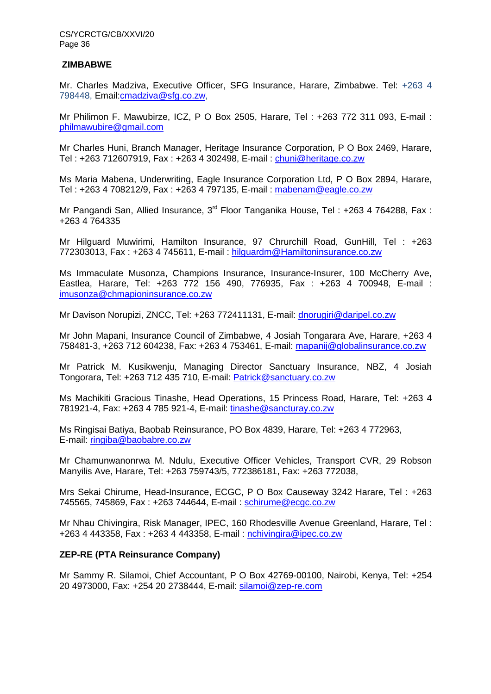#### **ZIMBABWE**

Mr. Charles Madziva, Executive Officer, SFG Insurance, Harare, Zimbabwe. Tel: +263 4 798448, Email:cmadziva@sfg.co.zw,

Mr Philimon F. Mawubirze, ICZ, P O Box 2505, Harare, Tel : +263 772 311 093, E-mail : philmawubire@gmail.com

Mr Charles Huni, Branch Manager, Heritage Insurance Corporation, P O Box 2469, Harare, Tel : +263 712607919, Fax : +263 4 302498, E-mail : chuni@heritage.co.zw

Ms Maria Mabena, Underwriting, Eagle Insurance Corporation Ltd, P O Box 2894, Harare, Tel : +263 4 708212/9, Fax : +263 4 797135, E-mail : mabenam@eagle.co.zw

Mr Pangandi San, Allied Insurance, 3<sup>rd</sup> Floor Tanganika House, Tel: +263 4 764288, Fax: +263 4 764335

Mr Hilguard Muwirimi, Hamilton Insurance, 97 Chrurchill Road, GunHill, Tel : +263 772303013, Fax : +263 4 745611, E-mail : hilguardm@Hamiltoninsurance.co.zw

Ms Immaculate Musonza, Champions Insurance, Insurance-Insurer, 100 McCherry Ave, Eastlea, Harare, Tel: +263 772 156 490, 776935, Fax : +263 4 700948, E-mail : imusonza@chmapioninsurance.co.zw

Mr Davison Norupizi, ZNCC, Tel: +263 772411131, E-mail: dnorugiri@daripel.co.zw

Mr John Mapani, Insurance Council of Zimbabwe, 4 Josiah Tongarara Ave, Harare, +263 4 758481-3, +263 712 604238, Fax: +263 4 753461, E-mail: mapanij@globalinsurance.co.zw

Mr Patrick M. Kusikwenju, Managing Director Sanctuary Insurance, NBZ, 4 Josiah Tongorara, Tel: +263 712 435 710, E-mail: Patrick@sanctuary.co.zw

Ms Machikiti Gracious Tinashe, Head Operations, 15 Princess Road, Harare, Tel: +263 4 781921-4, Fax: +263 4 785 921-4, E-mail: tinashe@sancturay.co.zw

Ms Ringisai Batiya, Baobab Reinsurance, PO Box 4839, Harare, Tel: +263 4 772963, E-mail: ringiba@baobabre.co.zw

Mr Chamunwanonrwa M. Ndulu, Executive Officer Vehicles, Transport CVR, 29 Robson Manyilis Ave, Harare, Tel: +263 759743/5, 772386181, Fax: +263 772038,

Mrs Sekai Chirume, Head-Insurance, ECGC, P O Box Causeway 3242 Harare, Tel : +263 745565, 745869, Fax : +263 744644, E-mail : schirume@ecgc.co.zw

Mr Nhau Chivingira, Risk Manager, IPEC, 160 Rhodesville Avenue Greenland, Harare, Tel : +263 4 443358, Fax : +263 4 443358, E-mail : nchivingira@ipec.co.zw

#### **ZEP-RE (PTA Reinsurance Company)**

Mr Sammy R. Silamoi, Chief Accountant, P O Box 42769-00100, Nairobi, Kenya, Tel: +254 20 4973000, Fax: +254 20 2738444, E-mail: silamoi@zep-re.com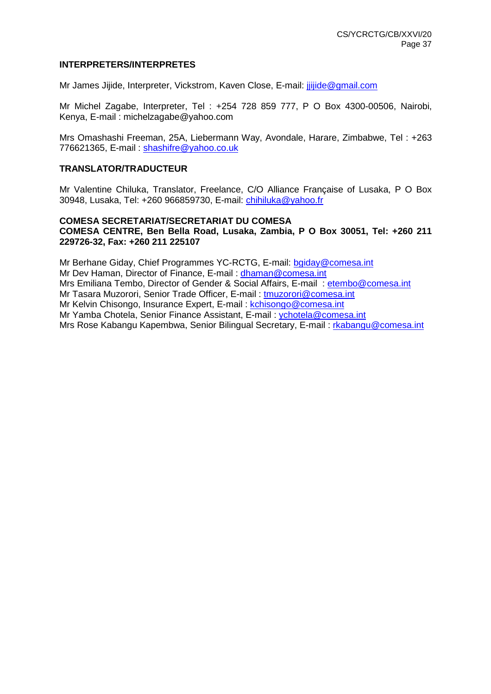#### **INTERPRETERS/INTERPRETES**

Mr James Jijide, Interpreter, Vickstrom, Kaven Close, E-mail: jjijide@gmail.com

Mr Michel Zagabe, Interpreter, Tel : +254 728 859 777, P O Box 4300-00506, Nairobi, Kenya, E-mail : michelzagabe@yahoo.com

Mrs Omashashi Freeman, 25A, Liebermann Way, Avondale, Harare, Zimbabwe, Tel : +263 776621365, E-mail : shashifre@yahoo.co.uk

#### **TRANSLATOR/TRADUCTEUR**

Mr Valentine Chiluka, Translator, Freelance, C/O Alliance Française of Lusaka, P O Box 30948, Lusaka, Tel: +260 966859730, E-mail: chihiluka@yahoo.fr

#### **COMESA SECRETARIAT/SECRETARIAT DU COMESA COMESA CENTRE, Ben Bella Road, Lusaka, Zambia, P O Box 30051, Tel: +260 211 229726-32, Fax: +260 211 225107**

Mr Berhane Giday, Chief Programmes YC-RCTG, E-mail: bgiday@comesa.int Mr Dev Haman, Director of Finance, E-mail : dhaman@comesa.int Mrs Emiliana Tembo, Director of Gender & Social Affairs, E-mail: etembo@comesa.int Mr Tasara Muzorori, Senior Trade Officer, E-mail : tmuzorori@comesa.int Mr Kelvin Chisongo, Insurance Expert, E-mail : kchisongo@comesa.int Mr Yamba Chotela, Senior Finance Assistant, E-mail : ychotela@comesa.int Mrs Rose Kabangu Kapembwa, Senior Bilingual Secretary, E-mail : rkabangu@comesa.int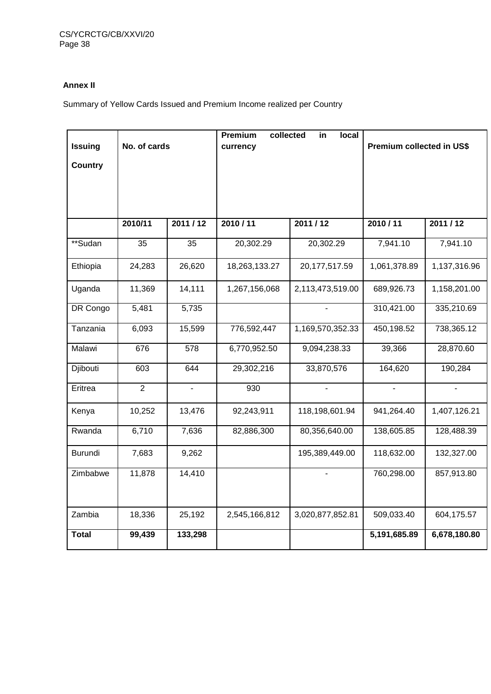## **Annex II**

Summary of Yellow Cards Issued and Premium Income realized per Country

| <b>Issuing</b><br><b>Country</b> | No. of cards   |                | Premium<br>currency | collected<br>local<br>in | Premium collected in US\$ |              |  |  |
|----------------------------------|----------------|----------------|---------------------|--------------------------|---------------------------|--------------|--|--|
|                                  | 2010/11        | 2011/12        | 2010/11             | 2011/12                  | 2010/11                   | 2011/12      |  |  |
| **Sudan                          | 35             | 35             | 20,302.29           | 20,302.29                | 7,941.10                  | 7,941.10     |  |  |
| Ethiopia                         | 24,283         | 26,620         | 18,263,133.27       | 20,177,517.59            | 1,061,378.89              | 1,137,316.96 |  |  |
| Uganda                           | 11,369         | 14,111         | 1,267,156,068       | 2,113,473,519.00         | 689,926.73                | 1,158,201.00 |  |  |
| DR Congo                         | 5,481          | 5,735          |                     |                          | 310,421.00                | 335,210.69   |  |  |
| Tanzania                         | 6,093          | 15,599         | 776,592,447         | 1,169,570,352.33         | 450,198.52                | 738,365.12   |  |  |
| Malawi                           | 676            | 578            | 6,770,952.50        | 9,094,238.33             | 39,366                    | 28,870.60    |  |  |
| Djibouti                         | 603            | 644            | 29,302,216          | 33,870,576               | 164,620                   | 190,284      |  |  |
| Eritrea                          | $\overline{2}$ | $\blacksquare$ | 930                 |                          |                           |              |  |  |
| Kenya                            | 10,252         | 13,476         | 92,243,911          | 118,198,601.94           | 941,264.40                | 1,407,126.21 |  |  |
| Rwanda                           | 6,710          | 7,636          | 82,886,300          | 80,356,640.00            | 138,605.85                | 128,488.39   |  |  |
| Burundi                          | 7,683          | 9,262          |                     | 195,389,449.00           | 118,632.00                | 132,327.00   |  |  |
| Zimbabwe                         | 11,878         | 14,410         |                     |                          | 760,298.00                | 857,913.80   |  |  |
| Zambia                           | 18,336         | 25,192         | 2,545,166,812       | 3,020,877,852.81         | 509,033.40                | 604,175.57   |  |  |
| <b>Total</b>                     | 99,439         | 133,298        |                     |                          | 5,191,685.89              | 6,678,180.80 |  |  |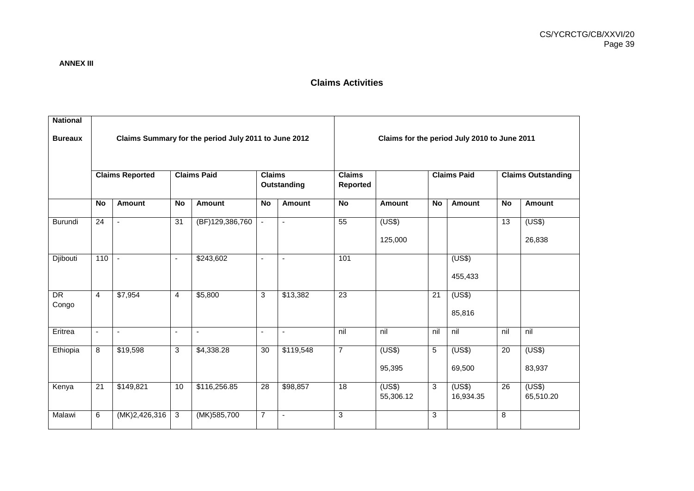## **Claims Activities**

| <b>National</b><br><b>Bureaux</b> |                        | Claims Summary for the period July 2011 to June 2012 |                          |                 |                              |                | Claims for the period July 2010 to June 2011 |                     |                    |                     |                           |                     |  |
|-----------------------------------|------------------------|------------------------------------------------------|--------------------------|-----------------|------------------------------|----------------|----------------------------------------------|---------------------|--------------------|---------------------|---------------------------|---------------------|--|
|                                   | <b>Claims Reported</b> |                                                      | <b>Claims Paid</b>       |                 | <b>Claims</b><br>Outstanding |                | <b>Claims</b><br>Reported                    |                     | <b>Claims Paid</b> |                     | <b>Claims Outstanding</b> |                     |  |
|                                   | <b>No</b>              | <b>Amount</b>                                        | <b>No</b>                | <b>Amount</b>   | <b>No</b>                    | <b>Amount</b>  | <b>No</b>                                    | <b>Amount</b>       | <b>No</b>          | Amount              | <b>No</b>                 | <b>Amount</b>       |  |
| Burundi                           | 24                     | $\blacksquare$                                       | $\overline{31}$          | (BF)129,386,760 | $\blacksquare$               | $\blacksquare$ | $\overline{55}$                              | (US\$)<br>125,000   |                    |                     | $\overline{13}$           | (US\$)<br>26,838    |  |
| Djibouti                          | 110                    | $\blacksquare$                                       | $\overline{\phantom{a}}$ | \$243,602       | $\blacksquare$               | $\sim$         | 101                                          |                     |                    | (US\$)<br>455,433   |                           |                     |  |
| DR<br>Congo                       | $\overline{4}$         | \$7,954                                              | $\overline{4}$           | \$5,800         | 3                            | \$13,382       | 23                                           |                     | $\overline{21}$    | (US\$)<br>85,816    |                           |                     |  |
| Eritrea                           | $\blacksquare$         | $\blacksquare$                                       | $\blacksquare$           | $\blacksquare$  | $\blacksquare$               | $\sim$         | nil                                          | nil                 | nil                | nil                 | nil                       | nil                 |  |
| Ethiopia                          | 8                      | \$19,598                                             | 3                        | \$4,338.28      | 30                           | \$119,548      | $\overline{7}$                               | (US\$)<br>95,395    | 5                  | (US\$)<br>69,500    | 20                        | (US\$)<br>83,937    |  |
| Kenya                             | 21                     | \$149,821                                            | 10                       | \$116,256.85    | $\overline{28}$              | \$98,857       | $\overline{18}$                              | (US\$)<br>55,306.12 | 3                  | (US\$)<br>16,934.35 | 26                        | (US\$)<br>65,510.20 |  |
| Malawi                            | 6                      | (MK)2,426,316                                        | 3                        | (MK)585,700     | $\overline{7}$               | $\blacksquare$ | 3                                            |                     | $\mathbf{3}$       |                     | 8                         |                     |  |